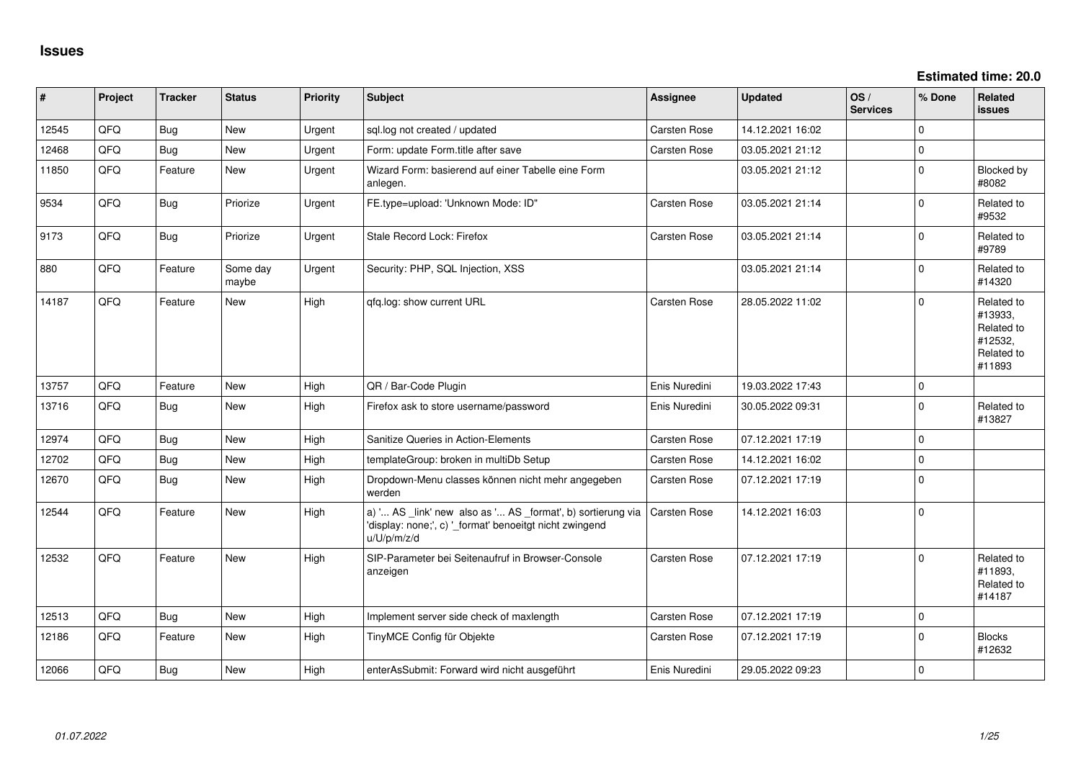**Estimated time: 20.0**

| #     | Project | <b>Tracker</b> | <b>Status</b>     | Priority | <b>Subject</b>                                                                                                                        | <b>Assignee</b> | <b>Updated</b>   | OS/<br><b>Services</b> | % Done      | Related<br><b>issues</b>                                               |
|-------|---------|----------------|-------------------|----------|---------------------------------------------------------------------------------------------------------------------------------------|-----------------|------------------|------------------------|-------------|------------------------------------------------------------------------|
| 12545 | QFQ     | <b>Bug</b>     | <b>New</b>        | Urgent   | sql.log not created / updated                                                                                                         | Carsten Rose    | 14.12.2021 16:02 |                        | $\Omega$    |                                                                        |
| 12468 | QFQ     | <b>Bug</b>     | New               | Urgent   | Form: update Form.title after save                                                                                                    | Carsten Rose    | 03.05.2021 21:12 |                        | $\mathbf 0$ |                                                                        |
| 11850 | QFQ     | Feature        | New               | Urgent   | Wizard Form: basierend auf einer Tabelle eine Form<br>anlegen.                                                                        |                 | 03.05.2021 21:12 |                        | $\mathbf 0$ | Blocked by<br>#8082                                                    |
| 9534  | QFQ     | <b>Bug</b>     | Priorize          | Urgent   | FE.type=upload: 'Unknown Mode: ID"                                                                                                    | Carsten Rose    | 03.05.2021 21:14 |                        | $\mathbf 0$ | Related to<br>#9532                                                    |
| 9173  | QFQ     | <b>Bug</b>     | Priorize          | Urgent   | Stale Record Lock: Firefox                                                                                                            | Carsten Rose    | 03.05.2021 21:14 |                        | $\Omega$    | Related to<br>#9789                                                    |
| 880   | QFQ     | Feature        | Some day<br>maybe | Urgent   | Security: PHP, SQL Injection, XSS                                                                                                     |                 | 03.05.2021 21:14 |                        | $\mathbf 0$ | Related to<br>#14320                                                   |
| 14187 | QFQ     | Feature        | New               | High     | qfq.log: show current URL                                                                                                             | Carsten Rose    | 28.05.2022 11:02 |                        | $\Omega$    | Related to<br>#13933,<br>Related to<br>#12532,<br>Related to<br>#11893 |
| 13757 | QFQ     | Feature        | <b>New</b>        | High     | QR / Bar-Code Plugin                                                                                                                  | Enis Nuredini   | 19.03.2022 17:43 |                        | $\pmb{0}$   |                                                                        |
| 13716 | QFQ     | Bug            | <b>New</b>        | High     | Firefox ask to store username/password                                                                                                | Enis Nuredini   | 30.05.2022 09:31 |                        | $\mathbf 0$ | Related to<br>#13827                                                   |
| 12974 | QFQ     | Bug            | <b>New</b>        | High     | Sanitize Queries in Action-Elements                                                                                                   | Carsten Rose    | 07.12.2021 17:19 |                        | $\mathbf 0$ |                                                                        |
| 12702 | QFQ     | <b>Bug</b>     | <b>New</b>        | High     | templateGroup: broken in multiDb Setup                                                                                                | Carsten Rose    | 14.12.2021 16:02 |                        | $\Omega$    |                                                                        |
| 12670 | QFQ     | <b>Bug</b>     | New               | High     | Dropdown-Menu classes können nicht mehr angegeben<br>werden                                                                           | Carsten Rose    | 07.12.2021 17:19 |                        | $\mathbf 0$ |                                                                        |
| 12544 | QFQ     | Feature        | New               | High     | a) ' AS _link' new also as ' AS _format', b) sortierung via<br>'display: none;', c) '_format' benoeitgt nicht zwingend<br>u/U/p/m/z/d | Carsten Rose    | 14.12.2021 16:03 |                        | $\mathbf 0$ |                                                                        |
| 12532 | QFQ     | Feature        | <b>New</b>        | High     | SIP-Parameter bei Seitenaufruf in Browser-Console<br>anzeigen                                                                         | Carsten Rose    | 07.12.2021 17:19 |                        | $\Omega$    | Related to<br>#11893,<br>Related to<br>#14187                          |
| 12513 | QFQ     | Bug            | New               | High     | Implement server side check of maxlength                                                                                              | Carsten Rose    | 07.12.2021 17:19 |                        | $\mathbf 0$ |                                                                        |
| 12186 | QFQ     | Feature        | New               | High     | TinyMCE Config für Objekte                                                                                                            | Carsten Rose    | 07.12.2021 17:19 |                        | $\mathbf 0$ | <b>Blocks</b><br>#12632                                                |
| 12066 | QFQ     | Bug            | <b>New</b>        | High     | enterAsSubmit: Forward wird nicht ausgeführt                                                                                          | Enis Nuredini   | 29.05.2022 09:23 |                        | $\mathbf 0$ |                                                                        |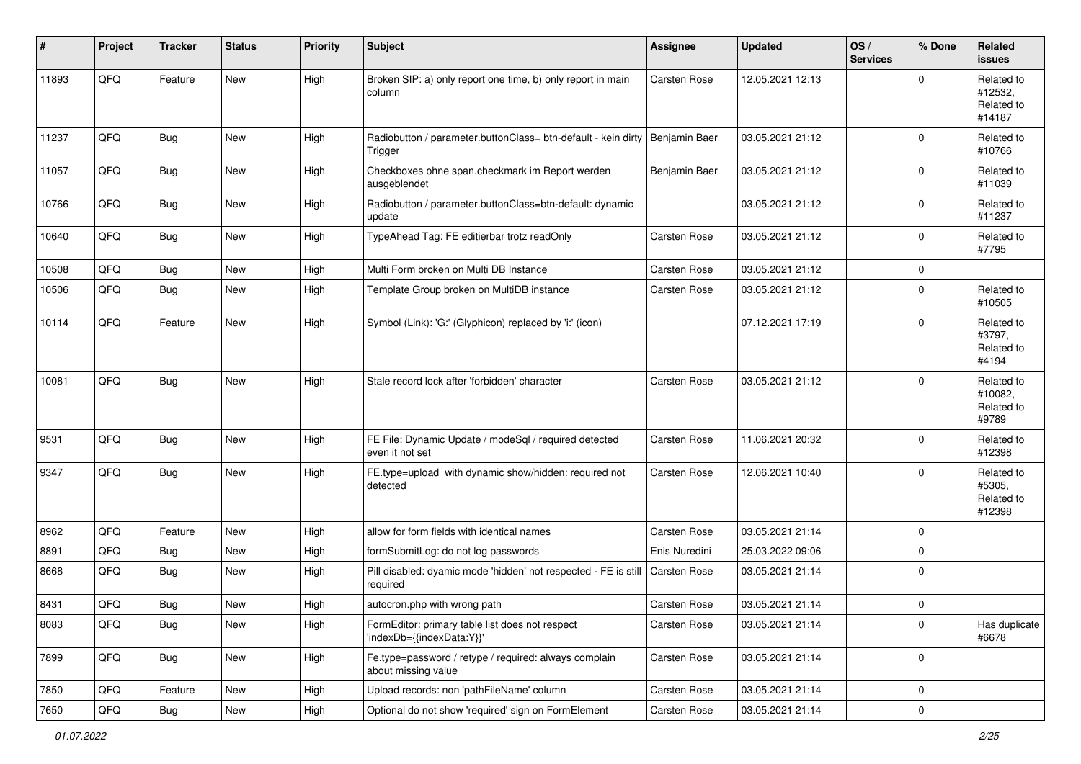| #     | Project        | <b>Tracker</b> | <b>Status</b> | <b>Priority</b> | <b>Subject</b>                                                               | <b>Assignee</b>     | <b>Updated</b>   | OS/<br><b>Services</b> | % Done              | Related<br><b>issues</b>                      |
|-------|----------------|----------------|---------------|-----------------|------------------------------------------------------------------------------|---------------------|------------------|------------------------|---------------------|-----------------------------------------------|
| 11893 | QFQ            | Feature        | New           | High            | Broken SIP: a) only report one time, b) only report in main<br>column        | Carsten Rose        | 12.05.2021 12:13 |                        | $\Omega$            | Related to<br>#12532,<br>Related to<br>#14187 |
| 11237 | QFQ            | <b>Bug</b>     | New           | High            | Radiobutton / parameter.buttonClass= btn-default - kein dirty<br>Trigger     | Benjamin Baer       | 03.05.2021 21:12 |                        | $\mathbf 0$         | Related to<br>#10766                          |
| 11057 | QFQ            | <b>Bug</b>     | New           | High            | Checkboxes ohne span.checkmark im Report werden<br>ausgeblendet              | Benjamin Baer       | 03.05.2021 21:12 |                        | $\mathbf 0$         | Related to<br>#11039                          |
| 10766 | QFQ            | <b>Bug</b>     | <b>New</b>    | High            | Radiobutton / parameter.buttonClass=btn-default: dynamic<br>update           |                     | 03.05.2021 21:12 |                        | $\mathbf 0$         | Related to<br>#11237                          |
| 10640 | QFQ            | <b>Bug</b>     | <b>New</b>    | High            | TypeAhead Tag: FE editierbar trotz readOnly                                  | <b>Carsten Rose</b> | 03.05.2021 21:12 |                        | $\Omega$            | Related to<br>#7795                           |
| 10508 | QFQ            | <b>Bug</b>     | <b>New</b>    | High            | Multi Form broken on Multi DB Instance                                       | <b>Carsten Rose</b> | 03.05.2021 21:12 |                        | $\mathbf 0$         |                                               |
| 10506 | QFQ            | <b>Bug</b>     | New           | High            | Template Group broken on MultiDB instance                                    | <b>Carsten Rose</b> | 03.05.2021 21:12 |                        | 0                   | Related to<br>#10505                          |
| 10114 | QFQ            | Feature        | <b>New</b>    | High            | Symbol (Link): 'G:' (Glyphicon) replaced by 'i:' (icon)                      |                     | 07.12.2021 17:19 |                        | $\mathbf 0$         | Related to<br>#3797,<br>Related to<br>#4194   |
| 10081 | QFQ            | <b>Bug</b>     | <b>New</b>    | High            | Stale record lock after 'forbidden' character                                | <b>Carsten Rose</b> | 03.05.2021 21:12 |                        | $\Omega$            | Related to<br>#10082,<br>Related to<br>#9789  |
| 9531  | QFQ            | <b>Bug</b>     | New           | High            | FE File: Dynamic Update / modeSql / required detected<br>even it not set     | <b>Carsten Rose</b> | 11.06.2021 20:32 |                        | 0                   | Related to<br>#12398                          |
| 9347  | QFQ            | <b>Bug</b>     | <b>New</b>    | High            | FE.type=upload with dynamic show/hidden: required not<br>detected            | Carsten Rose        | 12.06.2021 10:40 |                        | $\mathbf 0$         | Related to<br>#5305,<br>Related to<br>#12398  |
| 8962  | QFQ            | Feature        | New           | High            | allow for form fields with identical names                                   | <b>Carsten Rose</b> | 03.05.2021 21:14 |                        | 0                   |                                               |
| 8891  | QFQ            | Bug            | <b>New</b>    | High            | formSubmitLog: do not log passwords                                          | Enis Nuredini       | 25.03.2022 09:06 |                        | 0                   |                                               |
| 8668  | QFQ            | <b>Bug</b>     | <b>New</b>    | High            | Pill disabled: dyamic mode 'hidden' not respected - FE is still<br>required  | <b>Carsten Rose</b> | 03.05.2021 21:14 |                        | $\mathbf 0$         |                                               |
| 8431  | QFQ            | Bug            | New           | High            | autocron.php with wrong path                                                 | <b>Carsten Rose</b> | 03.05.2021 21:14 |                        | 0                   |                                               |
| 8083  | QFQ            | <b>Bug</b>     | New           | High            | FormEditor: primary table list does not respect<br>'indexDb={{indexData:Y}}' | Carsten Rose        | 03.05.2021 21:14 |                        | $\mathbf 0$         | Has duplicate<br>#6678                        |
| 7899  | QFQ            | <b>Bug</b>     | New           | High            | Fe.type=password / retype / required: always complain<br>about missing value | Carsten Rose        | 03.05.2021 21:14 |                        | $\mathsf{O}\xspace$ |                                               |
| 7850  | QFQ            | Feature        | <b>New</b>    | High            | Upload records: non 'pathFileName' column                                    | Carsten Rose        | 03.05.2021 21:14 |                        | 0                   |                                               |
| 7650  | $\mathsf{QFQ}$ | i Bug          | New           | High            | Optional do not show 'required' sign on FormElement                          | Carsten Rose        | 03.05.2021 21:14 |                        | $\pmb{0}$           |                                               |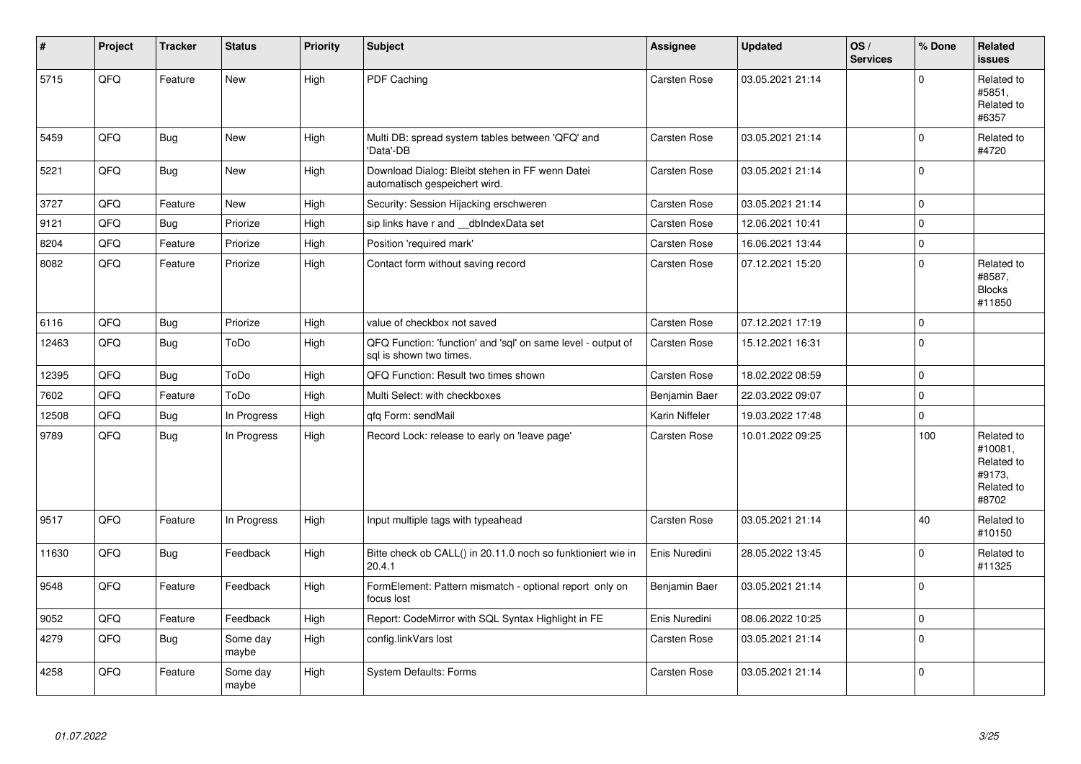| #     | Project | <b>Tracker</b> | <b>Status</b>     | <b>Priority</b> | <b>Subject</b>                                                                          | Assignee            | <b>Updated</b>   | OS/<br><b>Services</b> | % Done      | Related<br><b>issues</b>                                             |
|-------|---------|----------------|-------------------|-----------------|-----------------------------------------------------------------------------------------|---------------------|------------------|------------------------|-------------|----------------------------------------------------------------------|
| 5715  | QFQ     | Feature        | <b>New</b>        | High            | PDF Caching                                                                             | <b>Carsten Rose</b> | 03.05.2021 21:14 |                        | $\Omega$    | Related to<br>#5851,<br>Related to<br>#6357                          |
| 5459  | QFQ     | <b>Bug</b>     | <b>New</b>        | High            | Multi DB: spread system tables between 'QFQ' and<br>'Data'-DB                           | Carsten Rose        | 03.05.2021 21:14 |                        | $\mathbf 0$ | Related to<br>#4720                                                  |
| 5221  | QFQ     | <b>Bug</b>     | New               | High            | Download Dialog: Bleibt stehen in FF wenn Datei<br>automatisch gespeichert wird.        | Carsten Rose        | 03.05.2021 21:14 |                        | $\Omega$    |                                                                      |
| 3727  | QFQ     | Feature        | New               | High            | Security: Session Hijacking erschweren                                                  | Carsten Rose        | 03.05.2021 21:14 |                        | 0           |                                                                      |
| 9121  | QFQ     | Bug            | Priorize          | High            | sip links have r and __dbIndexData set                                                  | Carsten Rose        | 12.06.2021 10:41 |                        | $\mathbf 0$ |                                                                      |
| 8204  | QFQ     | Feature        | Priorize          | High            | Position 'required mark'                                                                | <b>Carsten Rose</b> | 16.06.2021 13:44 |                        | $\mathbf 0$ |                                                                      |
| 8082  | QFQ     | Feature        | Priorize          | High            | Contact form without saving record                                                      | <b>Carsten Rose</b> | 07.12.2021 15:20 |                        | $\Omega$    | Related to<br>#8587.<br><b>Blocks</b><br>#11850                      |
| 6116  | QFQ     | <b>Bug</b>     | Priorize          | High            | value of checkbox not saved                                                             | Carsten Rose        | 07.12.2021 17:19 |                        | 0           |                                                                      |
| 12463 | QFQ     | <b>Bug</b>     | ToDo              | High            | QFQ Function: 'function' and 'sql' on same level - output of<br>sql is shown two times. | Carsten Rose        | 15.12.2021 16:31 |                        | $\mathbf 0$ |                                                                      |
| 12395 | QFQ     | Bug            | ToDo              | High            | QFQ Function: Result two times shown                                                    | Carsten Rose        | 18.02.2022 08:59 |                        | $\pmb{0}$   |                                                                      |
| 7602  | QFQ     | Feature        | ToDo              | High            | Multi Select: with checkboxes                                                           | Benjamin Baer       | 22.03.2022 09:07 |                        | $\mathbf 0$ |                                                                      |
| 12508 | QFQ     | <b>Bug</b>     | In Progress       | High            | gfg Form: sendMail                                                                      | Karin Niffeler      | 19.03.2022 17:48 |                        | 0           |                                                                      |
| 9789  | QFQ     | Bug            | In Progress       | High            | Record Lock: release to early on 'leave page'                                           | Carsten Rose        | 10.01.2022 09:25 |                        | 100         | Related to<br>#10081,<br>Related to<br>#9173.<br>Related to<br>#8702 |
| 9517  | QFQ     | Feature        | In Progress       | High            | Input multiple tags with typeahead                                                      | Carsten Rose        | 03.05.2021 21:14 |                        | 40          | Related to<br>#10150                                                 |
| 11630 | QFQ     | <b>Bug</b>     | Feedback          | High            | Bitte check ob CALL() in 20.11.0 noch so funktioniert wie in<br>20.4.1                  | Enis Nuredini       | 28.05.2022 13:45 |                        | $\mathbf 0$ | Related to<br>#11325                                                 |
| 9548  | QFQ     | Feature        | Feedback          | High            | FormElement: Pattern mismatch - optional report only on<br>focus lost                   | Benjamin Baer       | 03.05.2021 21:14 |                        | $\Omega$    |                                                                      |
| 9052  | QFQ     | Feature        | Feedback          | High            | Report: CodeMirror with SQL Syntax Highlight in FE                                      | Enis Nuredini       | 08.06.2022 10:25 |                        | $\mathbf 0$ |                                                                      |
| 4279  | QFQ     | <b>Bug</b>     | Some day<br>maybe | High            | config.linkVars lost                                                                    | Carsten Rose        | 03.05.2021 21:14 |                        | $\Omega$    |                                                                      |
| 4258  | QFQ     | Feature        | Some day<br>maybe | High            | <b>System Defaults: Forms</b>                                                           | Carsten Rose        | 03.05.2021 21:14 |                        | $\Omega$    |                                                                      |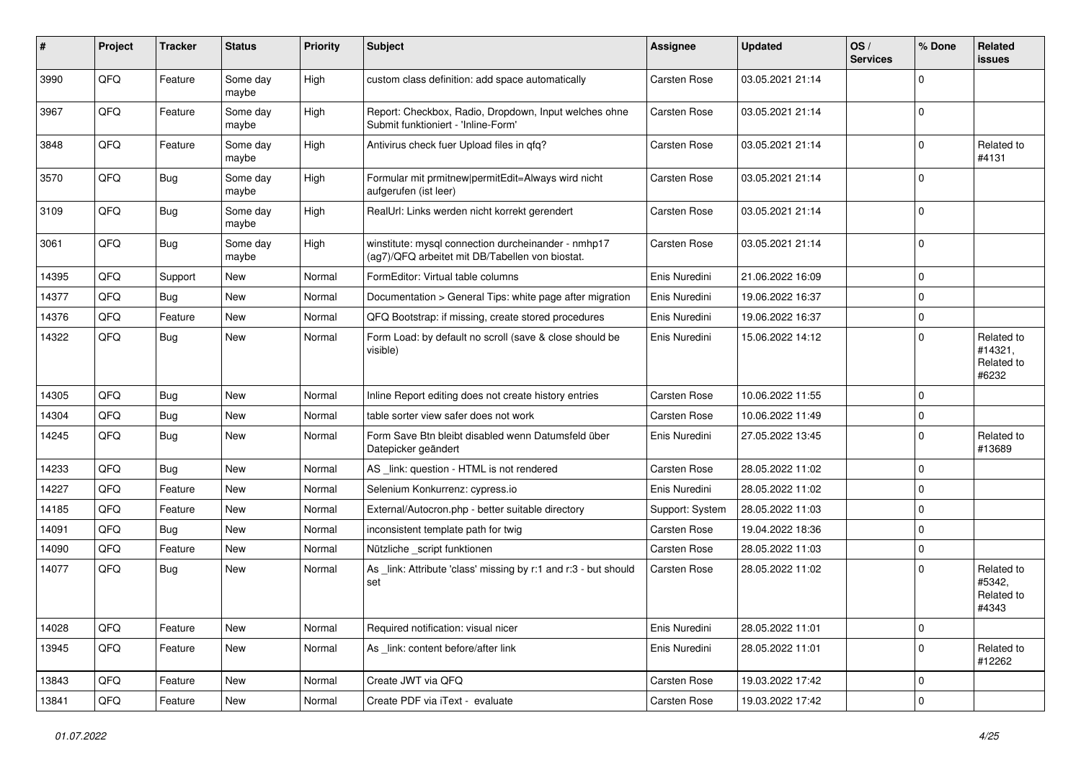| #     | Project | <b>Tracker</b> | <b>Status</b>     | <b>Priority</b> | <b>Subject</b>                                                                                         | <b>Assignee</b> | <b>Updated</b>   | OS/<br><b>Services</b> | % Done         | Related<br>issues                            |
|-------|---------|----------------|-------------------|-----------------|--------------------------------------------------------------------------------------------------------|-----------------|------------------|------------------------|----------------|----------------------------------------------|
| 3990  | QFQ     | Feature        | Some day<br>maybe | High            | custom class definition: add space automatically                                                       | Carsten Rose    | 03.05.2021 21:14 |                        | $\Omega$       |                                              |
| 3967  | QFQ     | Feature        | Some day<br>maybe | High            | Report: Checkbox, Radio, Dropdown, Input welches ohne<br>Submit funktioniert - 'Inline-Form'           | Carsten Rose    | 03.05.2021 21:14 |                        | $\mathbf 0$    |                                              |
| 3848  | QFQ     | Feature        | Some day<br>maybe | High            | Antivirus check fuer Upload files in qfq?                                                              | Carsten Rose    | 03.05.2021 21:14 |                        | $\mathbf 0$    | Related to<br>#4131                          |
| 3570  | QFQ     | <b>Bug</b>     | Some day<br>maybe | High            | Formular mit prmitnew permitEdit=Always wird nicht<br>aufgerufen (ist leer)                            | Carsten Rose    | 03.05.2021 21:14 |                        | $\mathbf 0$    |                                              |
| 3109  | QFQ     | <b>Bug</b>     | Some day<br>maybe | High            | RealUrl: Links werden nicht korrekt gerendert                                                          | Carsten Rose    | 03.05.2021 21:14 |                        | $\Omega$       |                                              |
| 3061  | QFQ     | <b>Bug</b>     | Some day<br>maybe | High            | winstitute: mysql connection durcheinander - nmhp17<br>(ag7)/QFQ arbeitet mit DB/Tabellen von biostat. | Carsten Rose    | 03.05.2021 21:14 |                        | $\mathbf 0$    |                                              |
| 14395 | QFQ     | Support        | New               | Normal          | FormEditor: Virtual table columns                                                                      | Enis Nuredini   | 21.06.2022 16:09 |                        | $\mathbf 0$    |                                              |
| 14377 | QFQ     | Bug            | New               | Normal          | Documentation > General Tips: white page after migration                                               | Enis Nuredini   | 19.06.2022 16:37 |                        | $\mathbf 0$    |                                              |
| 14376 | QFQ     | Feature        | New               | Normal          | QFQ Bootstrap: if missing, create stored procedures                                                    | Enis Nuredini   | 19.06.2022 16:37 |                        | $\mathbf 0$    |                                              |
| 14322 | QFQ     | Bug            | New               | Normal          | Form Load: by default no scroll (save & close should be<br>visible)                                    | Enis Nuredini   | 15.06.2022 14:12 |                        | $\mathbf 0$    | Related to<br>#14321,<br>Related to<br>#6232 |
| 14305 | QFQ     | <b>Bug</b>     | New               | Normal          | Inline Report editing does not create history entries                                                  | Carsten Rose    | 10.06.2022 11:55 |                        | $\Omega$       |                                              |
| 14304 | QFQ     | <b>Bug</b>     | New               | Normal          | table sorter view safer does not work                                                                  | Carsten Rose    | 10.06.2022 11:49 |                        | $\mathbf 0$    |                                              |
| 14245 | QFQ     | Bug            | New               | Normal          | Form Save Btn bleibt disabled wenn Datumsfeld über<br>Datepicker geändert                              | Enis Nuredini   | 27.05.2022 13:45 |                        | $\mathbf 0$    | Related to<br>#13689                         |
| 14233 | QFQ     | <b>Bug</b>     | New               | Normal          | AS _link: question - HTML is not rendered                                                              | Carsten Rose    | 28.05.2022 11:02 |                        | $\mathbf 0$    |                                              |
| 14227 | QFQ     | Feature        | New               | Normal          | Selenium Konkurrenz: cypress.io                                                                        | Enis Nuredini   | 28.05.2022 11:02 |                        | $\mathbf 0$    |                                              |
| 14185 | QFQ     | Feature        | <b>New</b>        | Normal          | External/Autocron.php - better suitable directory                                                      | Support: System | 28.05.2022 11:03 |                        | $\mathbf 0$    |                                              |
| 14091 | QFQ     | <b>Bug</b>     | New               | Normal          | inconsistent template path for twig                                                                    | Carsten Rose    | 19.04.2022 18:36 |                        | $\mathbf 0$    |                                              |
| 14090 | QFQ     | Feature        | New               | Normal          | Nützliche _script funktionen                                                                           | Carsten Rose    | 28.05.2022 11:03 |                        | $\mathbf 0$    |                                              |
| 14077 | QFQ     | <b>Bug</b>     | New               | Normal          | As _link: Attribute 'class' missing by r:1 and r:3 - but should<br>set                                 | Carsten Rose    | 28.05.2022 11:02 |                        | 0              | Related to<br>#5342,<br>Related to<br>#4343  |
| 14028 | QFQ     | Feature        | New               | Normal          | Required notification: visual nicer                                                                    | Enis Nuredini   | 28.05.2022 11:01 |                        | $\mathbf 0$    |                                              |
| 13945 | QFQ     | Feature        | New               | Normal          | As link: content before/after link                                                                     | Enis Nuredini   | 28.05.2022 11:01 |                        | $\mathbf 0$    | Related to<br>#12262                         |
| 13843 | QFQ     | Feature        | New               | Normal          | Create JWT via QFQ                                                                                     | Carsten Rose    | 19.03.2022 17:42 |                        | $\mathbf 0$    |                                              |
| 13841 | QFG     | Feature        | New               | Normal          | Create PDF via iText - evaluate                                                                        | Carsten Rose    | 19.03.2022 17:42 |                        | $\overline{0}$ |                                              |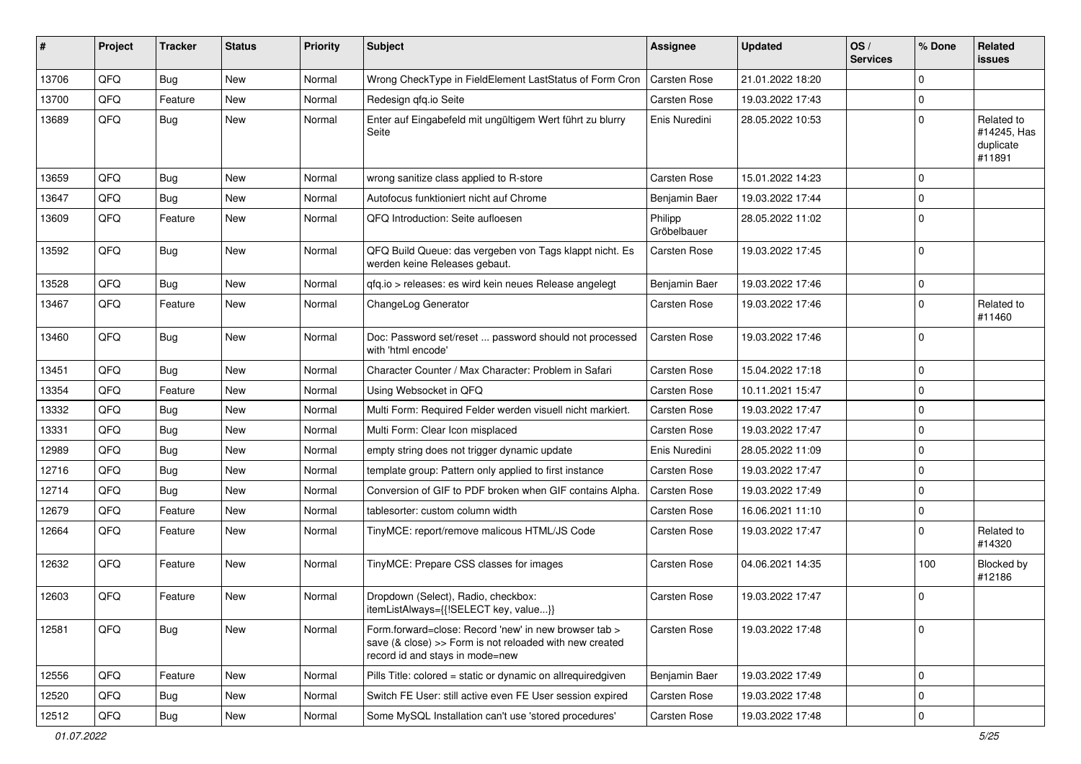| #     | Project | <b>Tracker</b> | <b>Status</b> | <b>Priority</b> | <b>Subject</b>                                                                                                                                      | <b>Assignee</b>        | <b>Updated</b>   | OS/<br><b>Services</b> | % Done      | Related<br>issues                                |
|-------|---------|----------------|---------------|-----------------|-----------------------------------------------------------------------------------------------------------------------------------------------------|------------------------|------------------|------------------------|-------------|--------------------------------------------------|
| 13706 | QFQ     | <b>Bug</b>     | <b>New</b>    | Normal          | Wrong CheckType in FieldElement LastStatus of Form Cron                                                                                             | Carsten Rose           | 21.01.2022 18:20 |                        | $\Omega$    |                                                  |
| 13700 | QFQ     | Feature        | <b>New</b>    | Normal          | Redesign gfg.io Seite                                                                                                                               | Carsten Rose           | 19.03.2022 17:43 |                        | $\pmb{0}$   |                                                  |
| 13689 | QFQ     | <b>Bug</b>     | New           | Normal          | Enter auf Eingabefeld mit ungültigem Wert führt zu blurry<br>Seite                                                                                  | Enis Nuredini          | 28.05.2022 10:53 |                        | $\mathbf 0$ | Related to<br>#14245, Has<br>duplicate<br>#11891 |
| 13659 | QFQ     | <b>Bug</b>     | <b>New</b>    | Normal          | wrong sanitize class applied to R-store                                                                                                             | Carsten Rose           | 15.01.2022 14:23 |                        | $\mathbf 0$ |                                                  |
| 13647 | QFQ     | <b>Bug</b>     | <b>New</b>    | Normal          | Autofocus funktioniert nicht auf Chrome                                                                                                             | Benjamin Baer          | 19.03.2022 17:44 |                        | $\mathbf 0$ |                                                  |
| 13609 | QFQ     | Feature        | <b>New</b>    | Normal          | QFQ Introduction: Seite aufloesen                                                                                                                   | Philipp<br>Gröbelbauer | 28.05.2022 11:02 |                        | $\mathbf 0$ |                                                  |
| 13592 | QFQ     | <b>Bug</b>     | <b>New</b>    | Normal          | QFQ Build Queue: das vergeben von Tags klappt nicht. Es<br>werden keine Releases gebaut.                                                            | Carsten Rose           | 19.03.2022 17:45 |                        | $\mathbf 0$ |                                                  |
| 13528 | QFQ     | <b>Bug</b>     | <b>New</b>    | Normal          | qfq.io > releases: es wird kein neues Release angelegt                                                                                              | Benjamin Baer          | 19.03.2022 17:46 |                        | $\pmb{0}$   |                                                  |
| 13467 | QFQ     | Feature        | New           | Normal          | ChangeLog Generator                                                                                                                                 | Carsten Rose           | 19.03.2022 17:46 |                        | $\mathbf 0$ | Related to<br>#11460                             |
| 13460 | QFQ     | <b>Bug</b>     | <b>New</b>    | Normal          | Doc: Password set/reset  password should not processed<br>with 'html encode'                                                                        | Carsten Rose           | 19.03.2022 17:46 |                        | $\mathbf 0$ |                                                  |
| 13451 | QFQ     | Bug            | <b>New</b>    | Normal          | Character Counter / Max Character: Problem in Safari                                                                                                | Carsten Rose           | 15.04.2022 17:18 |                        | $\mathbf 0$ |                                                  |
| 13354 | QFQ     | Feature        | <b>New</b>    | Normal          | Using Websocket in QFQ                                                                                                                              | Carsten Rose           | 10.11.2021 15:47 |                        | $\mathbf 0$ |                                                  |
| 13332 | QFQ     | <b>Bug</b>     | <b>New</b>    | Normal          | Multi Form: Required Felder werden visuell nicht markiert.                                                                                          | Carsten Rose           | 19.03.2022 17:47 |                        | $\mathbf 0$ |                                                  |
| 13331 | QFQ     | <b>Bug</b>     | <b>New</b>    | Normal          | Multi Form: Clear Icon misplaced                                                                                                                    | Carsten Rose           | 19.03.2022 17:47 |                        | $\mathbf 0$ |                                                  |
| 12989 | QFQ     | <b>Bug</b>     | <b>New</b>    | Normal          | empty string does not trigger dynamic update                                                                                                        | Enis Nuredini          | 28.05.2022 11:09 |                        | $\mathbf 0$ |                                                  |
| 12716 | QFQ     | <b>Bug</b>     | <b>New</b>    | Normal          | template group: Pattern only applied to first instance                                                                                              | Carsten Rose           | 19.03.2022 17:47 |                        | $\mathbf 0$ |                                                  |
| 12714 | QFQ     | <b>Bug</b>     | <b>New</b>    | Normal          | Conversion of GIF to PDF broken when GIF contains Alpha.                                                                                            | Carsten Rose           | 19.03.2022 17:49 |                        | $\mathbf 0$ |                                                  |
| 12679 | QFQ     | Feature        | <b>New</b>    | Normal          | tablesorter: custom column width                                                                                                                    | Carsten Rose           | 16.06.2021 11:10 |                        | $\pmb{0}$   |                                                  |
| 12664 | QFQ     | Feature        | New           | Normal          | TinyMCE: report/remove malicous HTML/JS Code                                                                                                        | Carsten Rose           | 19.03.2022 17:47 |                        | $\mathbf 0$ | Related to<br>#14320                             |
| 12632 | QFQ     | Feature        | <b>New</b>    | Normal          | TinyMCE: Prepare CSS classes for images                                                                                                             | Carsten Rose           | 04.06.2021 14:35 |                        | 100         | Blocked by<br>#12186                             |
| 12603 | QFQ     | Feature        | New           | Normal          | Dropdown (Select), Radio, checkbox:<br>itemListAlways={{!SELECT key, value}}                                                                        | Carsten Rose           | 19.03.2022 17:47 |                        | 0           |                                                  |
| 12581 | QFQ     | Bug            | New           | Normal          | Form forward=close: Record 'new' in new browser tab ><br>save (& close) >> Form is not reloaded with new created<br>record id and stays in mode=new | Carsten Rose           | 19.03.2022 17:48 |                        | 0           |                                                  |
| 12556 | QFQ     | Feature        | New           | Normal          | Pills Title: colored = static or dynamic on allrequiredgiven                                                                                        | Benjamin Baer          | 19.03.2022 17:49 |                        | $\mathbf 0$ |                                                  |
| 12520 | QFQ     | <b>Bug</b>     | New           | Normal          | Switch FE User: still active even FE User session expired                                                                                           | Carsten Rose           | 19.03.2022 17:48 |                        | $\pmb{0}$   |                                                  |
| 12512 | QFQ     | <b>Bug</b>     | New           | Normal          | Some MySQL Installation can't use 'stored procedures'                                                                                               | Carsten Rose           | 19.03.2022 17:48 |                        | $\pmb{0}$   |                                                  |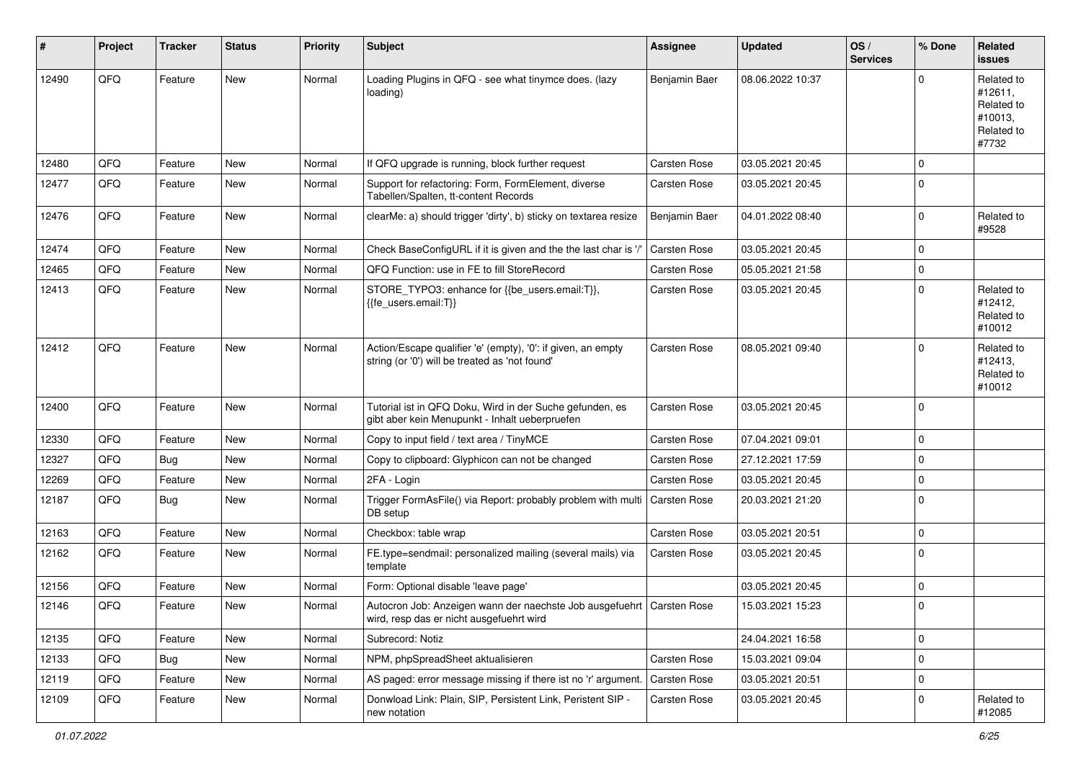| #     | Project | <b>Tracker</b> | <b>Status</b> | <b>Priority</b> | <b>Subject</b>                                                                                                      | <b>Assignee</b>     | <b>Updated</b>   | OS/<br><b>Services</b> | % Done      | Related<br>issues                                                     |
|-------|---------|----------------|---------------|-----------------|---------------------------------------------------------------------------------------------------------------------|---------------------|------------------|------------------------|-------------|-----------------------------------------------------------------------|
| 12490 | QFQ     | Feature        | <b>New</b>    | Normal          | Loading Plugins in QFQ - see what tinymce does. (lazy<br>loading)                                                   | Benjamin Baer       | 08.06.2022 10:37 |                        | 0           | Related to<br>#12611,<br>Related to<br>#10013,<br>Related to<br>#7732 |
| 12480 | QFQ     | Feature        | <b>New</b>    | Normal          | If QFQ upgrade is running, block further request                                                                    | <b>Carsten Rose</b> | 03.05.2021 20:45 |                        | 0           |                                                                       |
| 12477 | QFQ     | Feature        | New           | Normal          | Support for refactoring: Form, FormElement, diverse<br>Tabellen/Spalten, tt-content Records                         | Carsten Rose        | 03.05.2021 20:45 |                        | 0           |                                                                       |
| 12476 | QFQ     | Feature        | <b>New</b>    | Normal          | clearMe: a) should trigger 'dirty', b) sticky on textarea resize                                                    | Benjamin Baer       | 04.01.2022 08:40 |                        | 0           | Related to<br>#9528                                                   |
| 12474 | QFQ     | Feature        | <b>New</b>    | Normal          | Check BaseConfigURL if it is given and the the last char is '/'                                                     | Carsten Rose        | 03.05.2021 20:45 |                        | 0           |                                                                       |
| 12465 | QFQ     | Feature        | <b>New</b>    | Normal          | QFQ Function: use in FE to fill StoreRecord                                                                         | <b>Carsten Rose</b> | 05.05.2021 21:58 |                        | 0           |                                                                       |
| 12413 | QFQ     | Feature        | New           | Normal          | STORE_TYPO3: enhance for {{be_users.email:T}},<br>{{fe_users.email:T}}                                              | Carsten Rose        | 03.05.2021 20:45 |                        | 0           | Related to<br>#12412,<br>Related to<br>#10012                         |
| 12412 | QFQ     | Feature        | <b>New</b>    | Normal          | Action/Escape qualifier 'e' (empty), '0': if given, an empty<br>string (or '0') will be treated as 'not found'      | Carsten Rose        | 08.05.2021 09:40 |                        | 0           | Related to<br>#12413,<br>Related to<br>#10012                         |
| 12400 | QFQ     | Feature        | <b>New</b>    | Normal          | Tutorial ist in QFQ Doku, Wird in der Suche gefunden, es<br>gibt aber kein Menupunkt - Inhalt ueberpruefen          | Carsten Rose        | 03.05.2021 20:45 |                        | 0           |                                                                       |
| 12330 | QFQ     | Feature        | <b>New</b>    | Normal          | Copy to input field / text area / TinyMCE                                                                           | Carsten Rose        | 07.04.2021 09:01 |                        | 0           |                                                                       |
| 12327 | QFQ     | Bug            | <b>New</b>    | Normal          | Copy to clipboard: Glyphicon can not be changed                                                                     | Carsten Rose        | 27.12.2021 17:59 |                        | 0           |                                                                       |
| 12269 | QFQ     | Feature        | <b>New</b>    | Normal          | 2FA - Login                                                                                                         | <b>Carsten Rose</b> | 03.05.2021 20:45 |                        | 0           |                                                                       |
| 12187 | QFQ     | <b>Bug</b>     | New           | Normal          | Trigger FormAsFile() via Report: probably problem with multi<br>DB setup                                            | Carsten Rose        | 20.03.2021 21:20 |                        | 0           |                                                                       |
| 12163 | QFQ     | Feature        | <b>New</b>    | Normal          | Checkbox: table wrap                                                                                                | Carsten Rose        | 03.05.2021 20:51 |                        | 0           |                                                                       |
| 12162 | QFQ     | Feature        | New           | Normal          | FE.type=sendmail: personalized mailing (several mails) via<br>template                                              | Carsten Rose        | 03.05.2021 20:45 |                        | 0           |                                                                       |
| 12156 | QFQ     | Feature        | <b>New</b>    | Normal          | Form: Optional disable 'leave page'                                                                                 |                     | 03.05.2021 20:45 |                        | 0           |                                                                       |
| 12146 | QFQ     | Feature        | New           | Normal          | Autocron Job: Anzeigen wann der naechste Job ausgefuehrt   Carsten Rose<br>wird, resp das er nicht ausgefuehrt wird |                     | 15.03.2021 15:23 |                        | $\Omega$    |                                                                       |
| 12135 | QFQ     | Feature        | <b>New</b>    | Normal          | Subrecord: Notiz                                                                                                    |                     | 24.04.2021 16:58 |                        | 0           |                                                                       |
| 12133 | QFQ     | Bug            | New           | Normal          | NPM, phpSpreadSheet aktualisieren                                                                                   | Carsten Rose        | 15.03.2021 09:04 |                        | $\mathbf 0$ |                                                                       |
| 12119 | QFQ     | Feature        | <b>New</b>    | Normal          | AS paged: error message missing if there ist no 'r' argument.                                                       | Carsten Rose        | 03.05.2021 20:51 |                        | 0           |                                                                       |
| 12109 | QFQ     | Feature        | New           | Normal          | Donwload Link: Plain, SIP, Persistent Link, Peristent SIP -<br>new notation                                         | Carsten Rose        | 03.05.2021 20:45 |                        | 0           | Related to<br>#12085                                                  |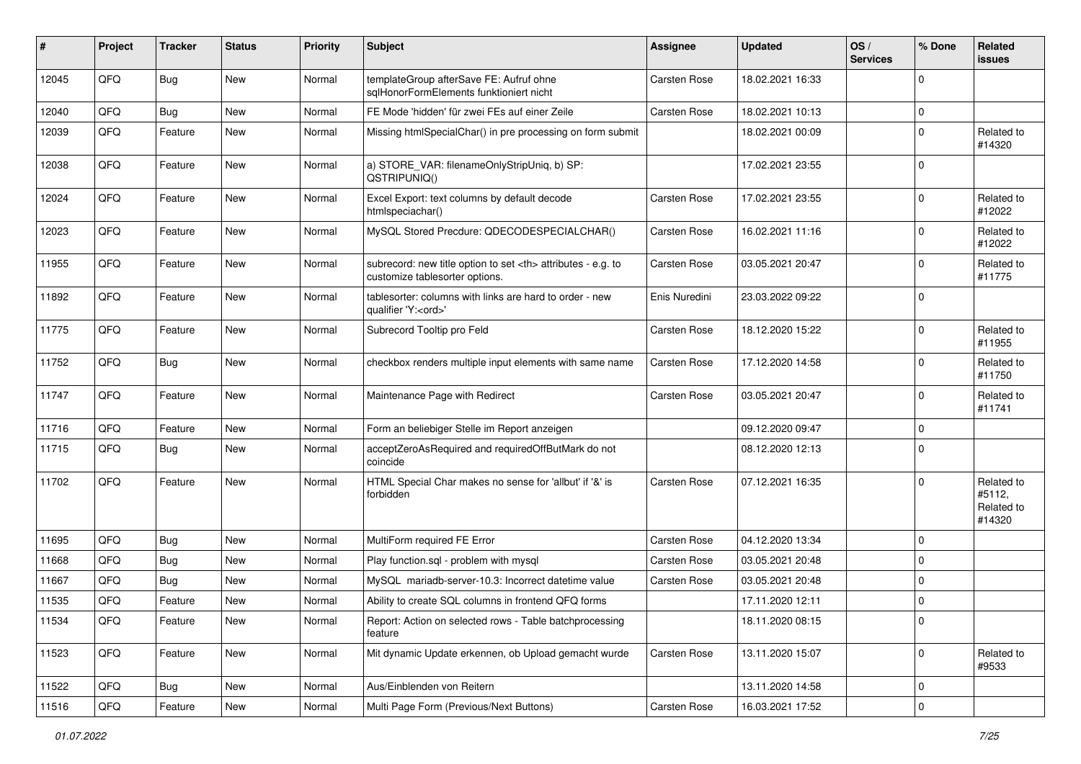| $\sharp$ | Project | <b>Tracker</b> | <b>Status</b> | <b>Priority</b> | <b>Subject</b>                                                                                       | <b>Assignee</b>                                        | <b>Updated</b>   | OS/<br><b>Services</b> | % Done      | Related<br><b>issues</b>                     |                      |
|----------|---------|----------------|---------------|-----------------|------------------------------------------------------------------------------------------------------|--------------------------------------------------------|------------------|------------------------|-------------|----------------------------------------------|----------------------|
| 12045    | QFQ     | Bug            | New           | Normal          | templateGroup afterSave FE: Aufruf ohne<br>sqlHonorFormElements funktioniert nicht                   | Carsten Rose                                           | 18.02.2021 16:33 |                        | $\Omega$    |                                              |                      |
| 12040    | QFQ     | <b>Bug</b>     | <b>New</b>    | Normal          | FE Mode 'hidden' für zwei FEs auf einer Zeile                                                        | <b>Carsten Rose</b>                                    | 18.02.2021 10:13 |                        | 0           |                                              |                      |
| 12039    | QFQ     | Feature        | <b>New</b>    | Normal          | Missing htmlSpecialChar() in pre processing on form submit                                           |                                                        | 18.02.2021 00:09 |                        | $\mathbf 0$ | Related to<br>#14320                         |                      |
| 12038    | QFQ     | Feature        | <b>New</b>    | Normal          | a) STORE_VAR: filenameOnlyStripUniq, b) SP:<br>QSTRIPUNIQ()                                          |                                                        | 17.02.2021 23:55 |                        | $\mathbf 0$ |                                              |                      |
| 12024    | QFQ     | Feature        | <b>New</b>    | Normal          | Excel Export: text columns by default decode<br>htmlspeciachar()                                     | Carsten Rose                                           | 17.02.2021 23:55 |                        | $\Omega$    | Related to<br>#12022                         |                      |
| 12023    | QFQ     | Feature        | New           | Normal          | MySQL Stored Precdure: QDECODESPECIALCHAR()                                                          | <b>Carsten Rose</b>                                    | 16.02.2021 11:16 |                        | $\mathbf 0$ | Related to<br>#12022                         |                      |
| 11955    | QFQ     | Feature        | <b>New</b>    | Normal          | subrecord: new title option to set <th> attributes - e.g. to<br/>customize tablesorter options.</th> | attributes - e.g. to<br>customize tablesorter options. | Carsten Rose     | 03.05.2021 20:47       |             | $\mathbf 0$                                  | Related to<br>#11775 |
| 11892    | QFQ     | Feature        | New           | Normal          | tablesorter: columns with links are hard to order - new<br>qualifier 'Y: <ord>'</ord>                | Enis Nuredini                                          | 23.03.2022 09:22 |                        | $\mathbf 0$ |                                              |                      |
| 11775    | QFQ     | Feature        | New           | Normal          | Subrecord Tooltip pro Feld                                                                           | <b>Carsten Rose</b>                                    | 18.12.2020 15:22 |                        | 0           | Related to<br>#11955                         |                      |
| 11752    | QFQ     | <b>Bug</b>     | New           | Normal          | checkbox renders multiple input elements with same name                                              | Carsten Rose                                           | 17.12.2020 14:58 |                        | $\mathbf 0$ | Related to<br>#11750                         |                      |
| 11747    | QFQ     | Feature        | New           | Normal          | Maintenance Page with Redirect                                                                       | Carsten Rose                                           | 03.05.2021 20:47 |                        | $\mathbf 0$ | Related to<br>#11741                         |                      |
| 11716    | QFQ     | Feature        | New           | Normal          | Form an beliebiger Stelle im Report anzeigen                                                         |                                                        | 09.12.2020 09:47 |                        | 0           |                                              |                      |
| 11715    | QFQ     | <b>Bug</b>     | <b>New</b>    | Normal          | acceptZeroAsRequired and requiredOffButMark do not<br>coincide                                       |                                                        | 08.12.2020 12:13 |                        | $\mathbf 0$ |                                              |                      |
| 11702    | QFQ     | Feature        | <b>New</b>    | Normal          | HTML Special Char makes no sense for 'allbut' if '&' is<br>forbidden                                 | <b>Carsten Rose</b>                                    | 07.12.2021 16:35 |                        | $\mathbf 0$ | Related to<br>#5112,<br>Related to<br>#14320 |                      |
| 11695    | QFQ     | <b>Bug</b>     | <b>New</b>    | Normal          | MultiForm required FE Error                                                                          | <b>Carsten Rose</b>                                    | 04.12.2020 13:34 |                        | $\mathbf 0$ |                                              |                      |
| 11668    | QFQ     | <b>Bug</b>     | <b>New</b>    | Normal          | Play function.sql - problem with mysql                                                               | Carsten Rose                                           | 03.05.2021 20:48 |                        | 0           |                                              |                      |
| 11667    | QFQ     | <b>Bug</b>     | <b>New</b>    | Normal          | MySQL mariadb-server-10.3: Incorrect datetime value                                                  | Carsten Rose                                           | 03.05.2021 20:48 |                        | $\mathbf 0$ |                                              |                      |
| 11535    | QFQ     | Feature        | New           | Normal          | Ability to create SQL columns in frontend QFQ forms                                                  |                                                        | 17.11.2020 12:11 |                        | $\mathbf 0$ |                                              |                      |
| 11534    | QFG     | Feature        | New           | Normal          | Report: Action on selected rows - Table batchprocessing<br>feature                                   |                                                        | 18.11.2020 08:15 |                        | 0           |                                              |                      |
| 11523    | QFQ     | Feature        | New           | Normal          | Mit dynamic Update erkennen, ob Upload gemacht wurde                                                 | Carsten Rose                                           | 13.11.2020 15:07 |                        | $\mathbf 0$ | Related to<br>#9533                          |                      |
| 11522    | QFQ     | <b>Bug</b>     | <b>New</b>    | Normal          | Aus/Einblenden von Reitern                                                                           |                                                        | 13.11.2020 14:58 |                        | $\mathbf 0$ |                                              |                      |
| 11516    | QFG     | Feature        | New           | Normal          | Multi Page Form (Previous/Next Buttons)                                                              | Carsten Rose                                           | 16.03.2021 17:52 |                        | 0           |                                              |                      |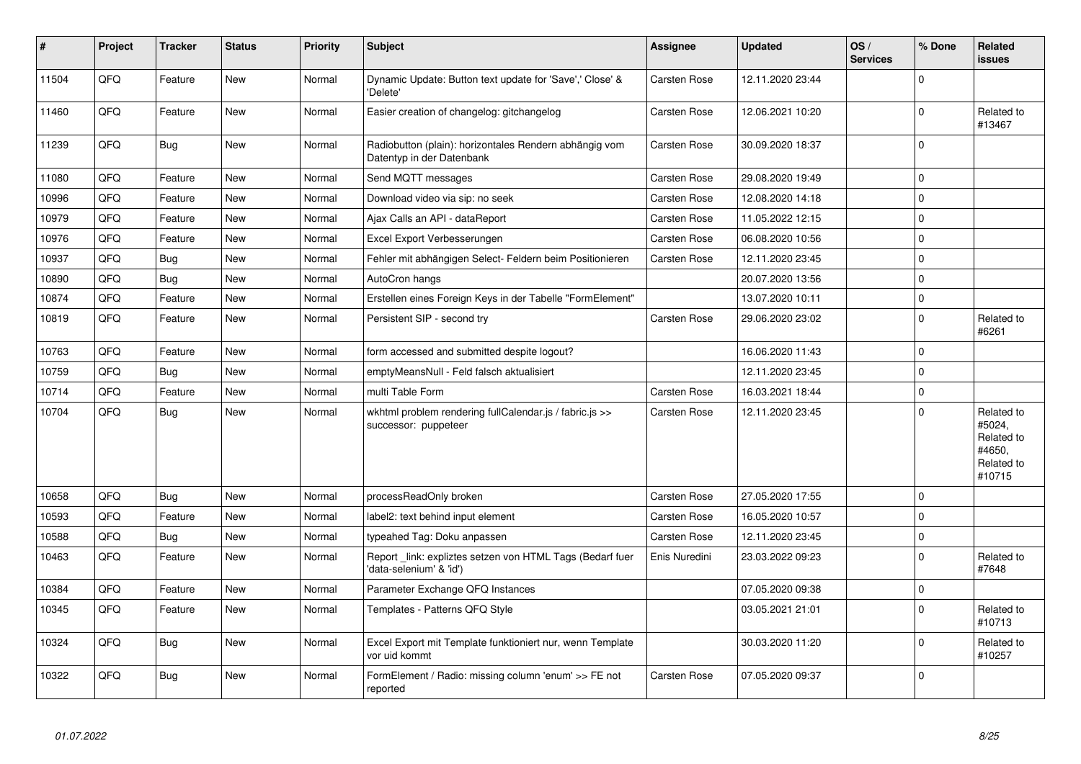| $\sharp$ | Project | <b>Tracker</b> | <b>Status</b> | <b>Priority</b> | <b>Subject</b>                                                                      | <b>Assignee</b> | <b>Updated</b>   | OS/<br><b>Services</b> | % Done      | <b>Related</b><br>issues                                             |
|----------|---------|----------------|---------------|-----------------|-------------------------------------------------------------------------------------|-----------------|------------------|------------------------|-------------|----------------------------------------------------------------------|
| 11504    | QFQ     | Feature        | <b>New</b>    | Normal          | Dynamic Update: Button text update for 'Save',' Close' &<br>'Delete'                | Carsten Rose    | 12.11.2020 23:44 |                        | $\Omega$    |                                                                      |
| 11460    | QFQ     | Feature        | <b>New</b>    | Normal          | Easier creation of changelog: gitchangelog                                          | Carsten Rose    | 12.06.2021 10:20 |                        | $\pmb{0}$   | Related to<br>#13467                                                 |
| 11239    | QFQ     | <b>Bug</b>     | New           | Normal          | Radiobutton (plain): horizontales Rendern abhängig vom<br>Datentyp in der Datenbank | Carsten Rose    | 30.09.2020 18:37 |                        | $\Omega$    |                                                                      |
| 11080    | QFQ     | Feature        | <b>New</b>    | Normal          | Send MQTT messages                                                                  | Carsten Rose    | 29.08.2020 19:49 |                        | $\mathbf 0$ |                                                                      |
| 10996    | QFQ     | Feature        | <b>New</b>    | Normal          | Download video via sip: no seek                                                     | Carsten Rose    | 12.08.2020 14:18 |                        | $\Omega$    |                                                                      |
| 10979    | QFQ     | Feature        | <b>New</b>    | Normal          | Ajax Calls an API - dataReport                                                      | Carsten Rose    | 11.05.2022 12:15 |                        | $\mathbf 0$ |                                                                      |
| 10976    | QFQ     | Feature        | <b>New</b>    | Normal          | Excel Export Verbesserungen                                                         | Carsten Rose    | 06.08.2020 10:56 |                        | $\Omega$    |                                                                      |
| 10937    | QFQ     | <b>Bug</b>     | <b>New</b>    | Normal          | Fehler mit abhängigen Select- Feldern beim Positionieren                            | Carsten Rose    | 12.11.2020 23:45 |                        | 0           |                                                                      |
| 10890    | QFQ     | <b>Bug</b>     | <b>New</b>    | Normal          | AutoCron hangs                                                                      |                 | 20.07.2020 13:56 |                        | $\Omega$    |                                                                      |
| 10874    | QFQ     | Feature        | <b>New</b>    | Normal          | Erstellen eines Foreign Keys in der Tabelle "FormElement"                           |                 | 13.07.2020 10:11 |                        | 0           |                                                                      |
| 10819    | QFQ     | Feature        | <b>New</b>    | Normal          | Persistent SIP - second try                                                         | Carsten Rose    | 29.06.2020 23:02 |                        | $\Omega$    | Related to<br>#6261                                                  |
| 10763    | QFQ     | Feature        | <b>New</b>    | Normal          | form accessed and submitted despite logout?                                         |                 | 16.06.2020 11:43 |                        | $\Omega$    |                                                                      |
| 10759    | QFQ     | Bug            | <b>New</b>    | Normal          | emptyMeansNull - Feld falsch aktualisiert                                           |                 | 12.11.2020 23:45 |                        | $\Omega$    |                                                                      |
| 10714    | QFQ     | Feature        | <b>New</b>    | Normal          | multi Table Form                                                                    | Carsten Rose    | 16.03.2021 18:44 |                        | 0           |                                                                      |
| 10704    | QFQ     | <b>Bug</b>     | <b>New</b>    | Normal          | wkhtml problem rendering fullCalendar.js / fabric.js >><br>successor: puppeteer     | Carsten Rose    | 12.11.2020 23:45 |                        | $\Omega$    | Related to<br>#5024,<br>Related to<br>#4650,<br>Related to<br>#10715 |
| 10658    | QFQ     | Bug            | <b>New</b>    | Normal          | processReadOnly broken                                                              | Carsten Rose    | 27.05.2020 17:55 |                        | $\Omega$    |                                                                      |
| 10593    | QFQ     | Feature        | <b>New</b>    | Normal          | label2: text behind input element                                                   | Carsten Rose    | 16.05.2020 10:57 |                        | $\Omega$    |                                                                      |
| 10588    | QFQ     | Bug            | <b>New</b>    | Normal          | typeahed Tag: Doku anpassen                                                         | Carsten Rose    | 12.11.2020 23:45 |                        | 0           |                                                                      |
| 10463    | QFQ     | Feature        | <b>New</b>    | Normal          | Report link: expliztes setzen von HTML Tags (Bedarf fuer<br>'data-selenium' & 'id') | Enis Nuredini   | 23.03.2022 09:23 |                        | $\Omega$    | Related to<br>#7648                                                  |
| 10384    | QFQ     | Feature        | <b>New</b>    | Normal          | Parameter Exchange QFQ Instances                                                    |                 | 07.05.2020 09:38 |                        | $\mathbf 0$ |                                                                      |
| 10345    | QFQ     | Feature        | <b>New</b>    | Normal          | Templates - Patterns QFQ Style                                                      |                 | 03.05.2021 21:01 |                        | $\Omega$    | Related to<br>#10713                                                 |
| 10324    | QFQ     | <b>Bug</b>     | <b>New</b>    | Normal          | Excel Export mit Template funktioniert nur, wenn Template<br>vor uid kommt          |                 | 30.03.2020 11:20 |                        | $\Omega$    | Related to<br>#10257                                                 |
| 10322    | QFQ     | <b>Bug</b>     | <b>New</b>    | Normal          | FormElement / Radio: missing column 'enum' >> FE not<br>reported                    | Carsten Rose    | 07.05.2020 09:37 |                        | $\mathbf 0$ |                                                                      |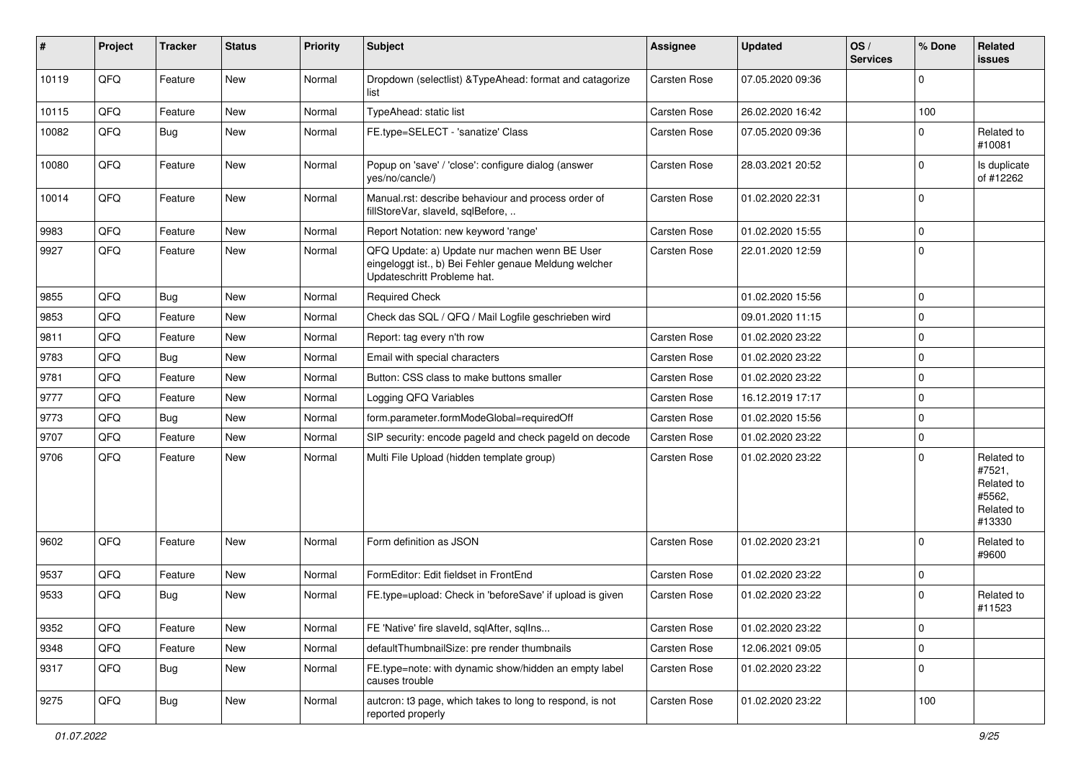| #     | Project | <b>Tracker</b> | <b>Status</b> | <b>Priority</b> | <b>Subject</b>                                                                                                                        | <b>Assignee</b> | <b>Updated</b>   | OS/<br><b>Services</b> | % Done      | Related<br>issues                                                    |
|-------|---------|----------------|---------------|-----------------|---------------------------------------------------------------------------------------------------------------------------------------|-----------------|------------------|------------------------|-------------|----------------------------------------------------------------------|
| 10119 | QFQ     | Feature        | <b>New</b>    | Normal          | Dropdown (selectlist) & TypeAhead: format and catagorize<br>list                                                                      | Carsten Rose    | 07.05.2020 09:36 |                        | $\Omega$    |                                                                      |
| 10115 | QFQ     | Feature        | <b>New</b>    | Normal          | TypeAhead: static list                                                                                                                | Carsten Rose    | 26.02.2020 16:42 |                        | 100         |                                                                      |
| 10082 | QFQ     | <b>Bug</b>     | New           | Normal          | FE.type=SELECT - 'sanatize' Class                                                                                                     | Carsten Rose    | 07.05.2020 09:36 |                        | $\Omega$    | Related to<br>#10081                                                 |
| 10080 | QFQ     | Feature        | New           | Normal          | Popup on 'save' / 'close': configure dialog (answer<br>ves/no/cancle/)                                                                | Carsten Rose    | 28.03.2021 20:52 |                        | $\Omega$    | Is duplicate<br>of #12262                                            |
| 10014 | QFQ     | Feature        | <b>New</b>    | Normal          | Manual.rst: describe behaviour and process order of<br>fillStoreVar, slaveId, sqlBefore,                                              | Carsten Rose    | 01.02.2020 22:31 |                        | $\Omega$    |                                                                      |
| 9983  | QFQ     | Feature        | <b>New</b>    | Normal          | Report Notation: new keyword 'range'                                                                                                  | Carsten Rose    | 01.02.2020 15:55 |                        | 0           |                                                                      |
| 9927  | QFQ     | Feature        | New           | Normal          | QFQ Update: a) Update nur machen wenn BE User<br>eingeloggt ist., b) Bei Fehler genaue Meldung welcher<br>Updateschritt Probleme hat. | Carsten Rose    | 22.01.2020 12:59 |                        | $\mathbf 0$ |                                                                      |
| 9855  | QFQ     | <b>Bug</b>     | <b>New</b>    | Normal          | <b>Required Check</b>                                                                                                                 |                 | 01.02.2020 15:56 |                        | $\mathbf 0$ |                                                                      |
| 9853  | QFQ     | Feature        | <b>New</b>    | Normal          | Check das SQL / QFQ / Mail Logfile geschrieben wird                                                                                   |                 | 09.01.2020 11:15 |                        | $\mathbf 0$ |                                                                      |
| 9811  | QFQ     | Feature        | <b>New</b>    | Normal          | Report: tag every n'th row                                                                                                            | Carsten Rose    | 01.02.2020 23:22 |                        | $\mathbf 0$ |                                                                      |
| 9783  | QFQ     | Bug            | <b>New</b>    | Normal          | Email with special characters                                                                                                         | Carsten Rose    | 01.02.2020 23:22 |                        | $\mathbf 0$ |                                                                      |
| 9781  | QFQ     | Feature        | New           | Normal          | Button: CSS class to make buttons smaller                                                                                             | Carsten Rose    | 01.02.2020 23:22 |                        | 0           |                                                                      |
| 9777  | QFQ     | Feature        | <b>New</b>    | Normal          | Logging QFQ Variables                                                                                                                 | Carsten Rose    | 16.12.2019 17:17 |                        | $\mathbf 0$ |                                                                      |
| 9773  | QFQ     | <b>Bug</b>     | <b>New</b>    | Normal          | form.parameter.formModeGlobal=requiredOff                                                                                             | Carsten Rose    | 01.02.2020 15:56 |                        | $\mathbf 0$ |                                                                      |
| 9707  | QFQ     | Feature        | <b>New</b>    | Normal          | SIP security: encode pageId and check pageId on decode                                                                                | Carsten Rose    | 01.02.2020 23:22 |                        | $\pmb{0}$   |                                                                      |
| 9706  | QFQ     | Feature        | New           | Normal          | Multi File Upload (hidden template group)                                                                                             | Carsten Rose    | 01.02.2020 23:22 |                        | $\Omega$    | Related to<br>#7521,<br>Related to<br>#5562,<br>Related to<br>#13330 |
| 9602  | QFQ     | Feature        | <b>New</b>    | Normal          | Form definition as JSON                                                                                                               | Carsten Rose    | 01.02.2020 23:21 |                        | $\Omega$    | Related to<br>#9600                                                  |
| 9537  | QFQ     | Feature        | <b>New</b>    | Normal          | FormEditor: Edit fieldset in FrontEnd                                                                                                 | Carsten Rose    | 01.02.2020 23:22 |                        | $\mathbf 0$ |                                                                      |
| 9533  | QFQ     | <b>Bug</b>     | <b>New</b>    | Normal          | FE.type=upload: Check in 'beforeSave' if upload is given                                                                              | Carsten Rose    | 01.02.2020 23:22 |                        | $\mathbf 0$ | Related to<br>#11523                                                 |
| 9352  | QFQ     | Feature        | New           | Normal          | FE 'Native' fire slaveld, sqlAfter, sqlIns                                                                                            | Carsten Rose    | 01.02.2020 23:22 |                        | $\mathbf 0$ |                                                                      |
| 9348  | QFQ     | Feature        | New           | Normal          | defaultThumbnailSize: pre render thumbnails                                                                                           | Carsten Rose    | 12.06.2021 09:05 |                        | $\mathbf 0$ |                                                                      |
| 9317  | QFQ     | Bug            | New           | Normal          | FE.type=note: with dynamic show/hidden an empty label<br>causes trouble                                                               | Carsten Rose    | 01.02.2020 23:22 |                        | 0           |                                                                      |
| 9275  | QFQ     | Bug            | New           | Normal          | autcron: t3 page, which takes to long to respond, is not<br>reported properly                                                         | Carsten Rose    | 01.02.2020 23:22 |                        | 100         |                                                                      |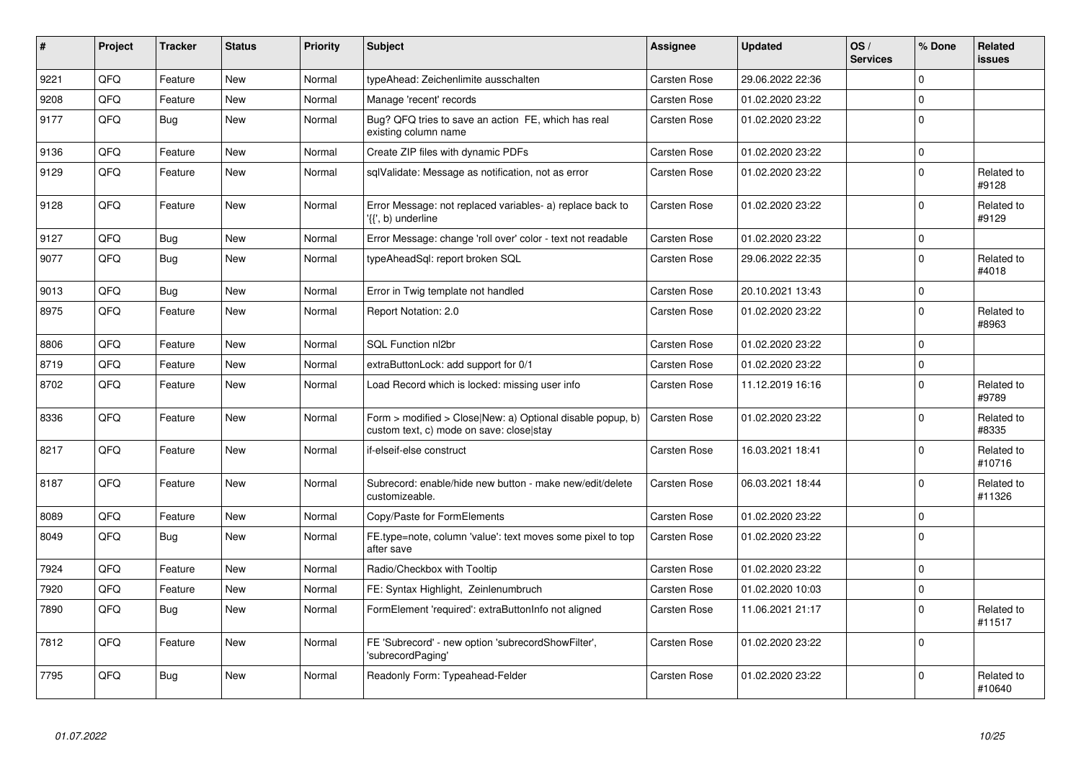| $\vert$ # | Project | <b>Tracker</b> | <b>Status</b> | <b>Priority</b> | <b>Subject</b>                                                                                         | Assignee            | <b>Updated</b>   | OS/<br><b>Services</b> | % Done         | <b>Related</b><br><b>issues</b> |
|-----------|---------|----------------|---------------|-----------------|--------------------------------------------------------------------------------------------------------|---------------------|------------------|------------------------|----------------|---------------------------------|
| 9221      | QFQ     | Feature        | <b>New</b>    | Normal          | typeAhead: Zeichenlimite ausschalten                                                                   | <b>Carsten Rose</b> | 29.06.2022 22:36 |                        | <sup>0</sup>   |                                 |
| 9208      | QFQ     | Feature        | New           | Normal          | Manage 'recent' records                                                                                | <b>Carsten Rose</b> | 01.02.2020 23:22 |                        | $\Omega$       |                                 |
| 9177      | QFQ     | Bug            | <b>New</b>    | Normal          | Bug? QFQ tries to save an action FE, which has real<br>existing column name                            | <b>Carsten Rose</b> | 01.02.2020 23:22 |                        | 0              |                                 |
| 9136      | QFQ     | Feature        | <b>New</b>    | Normal          | Create ZIP files with dynamic PDFs                                                                     | <b>Carsten Rose</b> | 01.02.2020 23:22 |                        | $\Omega$       |                                 |
| 9129      | QFQ     | Feature        | <b>New</b>    | Normal          | sqlValidate: Message as notification, not as error                                                     | Carsten Rose        | 01.02.2020 23:22 |                        | $\Omega$       | Related to<br>#9128             |
| 9128      | QFQ     | Feature        | <b>New</b>    | Normal          | Error Message: not replaced variables- a) replace back to<br>'{{', b) underline                        | Carsten Rose        | 01.02.2020 23:22 |                        | 0              | Related to<br>#9129             |
| 9127      | QFQ     | <b>Bug</b>     | <b>New</b>    | Normal          | Error Message: change 'roll over' color - text not readable                                            | <b>Carsten Rose</b> | 01.02.2020 23:22 |                        | $\mathbf 0$    |                                 |
| 9077      | QFQ     | Bug            | <b>New</b>    | Normal          | typeAheadSgl: report broken SQL                                                                        | <b>Carsten Rose</b> | 29.06.2022 22:35 |                        | 0              | Related to<br>#4018             |
| 9013      | QFQ     | <b>Bug</b>     | <b>New</b>    | Normal          | Error in Twig template not handled                                                                     | <b>Carsten Rose</b> | 20.10.2021 13:43 |                        | $\mathbf 0$    |                                 |
| 8975      | QFQ     | Feature        | New           | Normal          | Report Notation: 2.0                                                                                   | Carsten Rose        | 01.02.2020 23:22 |                        | $\overline{0}$ | Related to<br>#8963             |
| 8806      | QFQ     | Feature        | <b>New</b>    | Normal          | SQL Function nl2br                                                                                     | <b>Carsten Rose</b> | 01.02.2020 23:22 |                        | $\mathbf 0$    |                                 |
| 8719      | QFQ     | Feature        | <b>New</b>    | Normal          | extraButtonLock: add support for 0/1                                                                   | <b>Carsten Rose</b> | 01.02.2020 23:22 |                        | 0              |                                 |
| 8702      | QFQ     | Feature        | <b>New</b>    | Normal          | Load Record which is locked: missing user info                                                         | <b>Carsten Rose</b> | 11.12.2019 16:16 |                        | $\mathbf 0$    | Related to<br>#9789             |
| 8336      | QFQ     | Feature        | <b>New</b>    | Normal          | Form > modified > Close New: a) Optional disable popup, b)<br>custom text, c) mode on save: close stay | Carsten Rose        | 01.02.2020 23:22 |                        | 0              | Related to<br>#8335             |
| 8217      | QFQ     | Feature        | <b>New</b>    | Normal          | if-elseif-else construct                                                                               | <b>Carsten Rose</b> | 16.03.2021 18:41 |                        | 0              | Related to<br>#10716            |
| 8187      | QFQ     | Feature        | New           | Normal          | Subrecord: enable/hide new button - make new/edit/delete<br>customizeable.                             | Carsten Rose        | 06.03.2021 18:44 |                        | 0              | Related to<br>#11326            |
| 8089      | QFQ     | Feature        | <b>New</b>    | Normal          | Copy/Paste for FormElements                                                                            | Carsten Rose        | 01.02.2020 23:22 |                        | 0              |                                 |
| 8049      | QFQ     | <b>Bug</b>     | <b>New</b>    | Normal          | FE.type=note, column 'value': text moves some pixel to top<br>after save                               | Carsten Rose        | 01.02.2020 23:22 |                        | $\mathbf 0$    |                                 |
| 7924      | QFQ     | Feature        | <b>New</b>    | Normal          | Radio/Checkbox with Tooltip                                                                            | Carsten Rose        | 01.02.2020 23:22 |                        | <sup>0</sup>   |                                 |
| 7920      | QFQ     | Feature        | <b>New</b>    | Normal          | FE: Syntax Highlight, Zeinlenumbruch                                                                   | <b>Carsten Rose</b> | 01.02.2020 10:03 |                        | 0              |                                 |
| 7890      | QFQ     | Bug            | New           | Normal          | FormElement 'required': extraButtonInfo not aligned                                                    | <b>Carsten Rose</b> | 11.06.2021 21:17 |                        | $\mathbf 0$    | Related to<br>#11517            |
| 7812      | QFQ     | Feature        | <b>New</b>    | Normal          | FE 'Subrecord' - new option 'subrecordShowFilter',<br>'subrecordPaging'                                | Carsten Rose        | 01.02.2020 23:22 |                        | $\overline{0}$ |                                 |
| 7795      | QFQ     | Bug            | <b>New</b>    | Normal          | Readonly Form: Typeahead-Felder                                                                        | <b>Carsten Rose</b> | 01.02.2020 23:22 |                        | 0              | Related to<br>#10640            |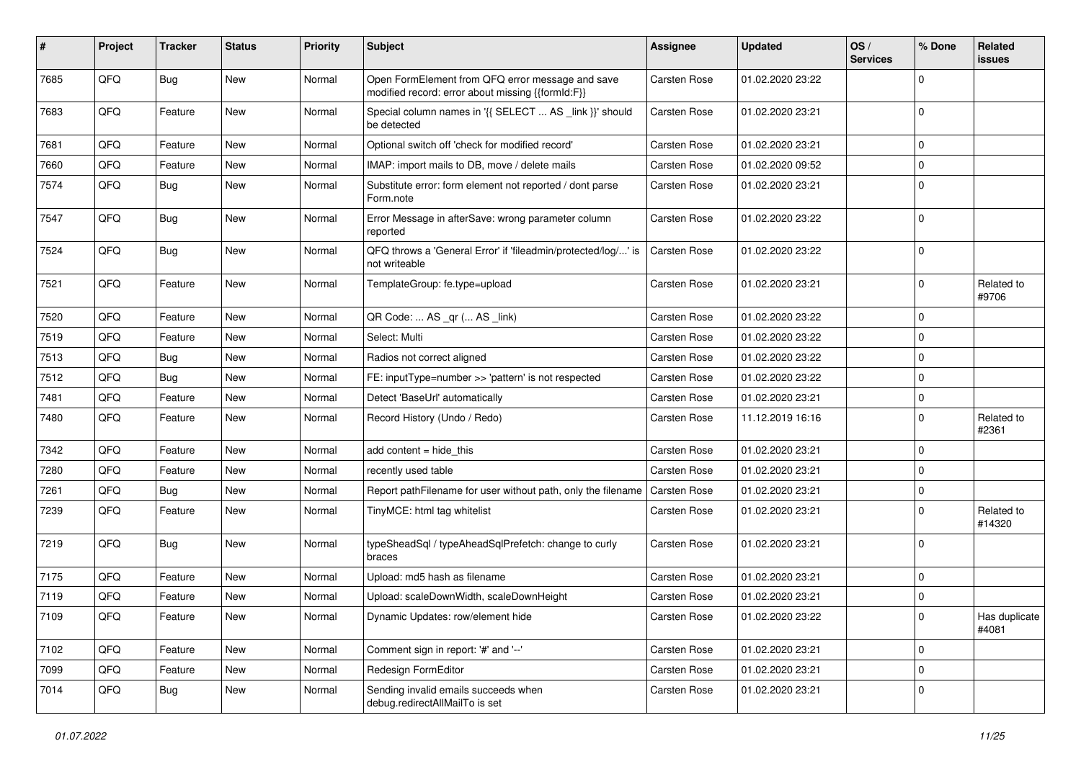| #    | Project | <b>Tracker</b> | <b>Status</b> | <b>Priority</b> | Subject                                                                                               | <b>Assignee</b> | <b>Updated</b>   | OS/<br><b>Services</b> | % Done      | Related<br>issues      |
|------|---------|----------------|---------------|-----------------|-------------------------------------------------------------------------------------------------------|-----------------|------------------|------------------------|-------------|------------------------|
| 7685 | QFQ     | <b>Bug</b>     | <b>New</b>    | Normal          | Open FormElement from QFQ error message and save<br>modified record: error about missing {{formId:F}} | Carsten Rose    | 01.02.2020 23:22 |                        | $\Omega$    |                        |
| 7683 | QFQ     | Feature        | New           | Normal          | Special column names in '{{ SELECT  AS _link }}' should<br>be detected                                | Carsten Rose    | 01.02.2020 23:21 |                        | 0           |                        |
| 7681 | QFQ     | Feature        | <b>New</b>    | Normal          | Optional switch off 'check for modified record'                                                       | Carsten Rose    | 01.02.2020 23:21 |                        | $\Omega$    |                        |
| 7660 | QFQ     | Feature        | New           | Normal          | IMAP: import mails to DB, move / delete mails                                                         | Carsten Rose    | 01.02.2020 09:52 |                        | $\mathbf 0$ |                        |
| 7574 | QFQ     | <b>Bug</b>     | <b>New</b>    | Normal          | Substitute error: form element not reported / dont parse<br>Form.note                                 | Carsten Rose    | 01.02.2020 23:21 |                        | $\Omega$    |                        |
| 7547 | QFQ     | <b>Bug</b>     | <b>New</b>    | Normal          | Error Message in afterSave: wrong parameter column<br>reported                                        | Carsten Rose    | 01.02.2020 23:22 |                        | $\Omega$    |                        |
| 7524 | QFQ     | <b>Bug</b>     | <b>New</b>    | Normal          | QFQ throws a 'General Error' if 'fileadmin/protected/log/' is<br>not writeable                        | Carsten Rose    | 01.02.2020 23:22 |                        | $\mathbf 0$ |                        |
| 7521 | QFQ     | Feature        | <b>New</b>    | Normal          | TemplateGroup: fe.type=upload                                                                         | Carsten Rose    | 01.02.2020 23:21 |                        | 0           | Related to<br>#9706    |
| 7520 | QFQ     | Feature        | <b>New</b>    | Normal          | QR Code:  AS _qr ( AS _link)                                                                          | Carsten Rose    | 01.02.2020 23:22 |                        | 0           |                        |
| 7519 | QFQ     | Feature        | New           | Normal          | Select: Multi                                                                                         | Carsten Rose    | 01.02.2020 23:22 |                        | $\Omega$    |                        |
| 7513 | QFQ     | Bug            | <b>New</b>    | Normal          | Radios not correct aligned                                                                            | Carsten Rose    | 01.02.2020 23:22 |                        | $\mathbf 0$ |                        |
| 7512 | QFQ     | <b>Bug</b>     | <b>New</b>    | Normal          | FE: inputType=number >> 'pattern' is not respected                                                    | Carsten Rose    | 01.02.2020 23:22 |                        | $\mathbf 0$ |                        |
| 7481 | QFQ     | Feature        | <b>New</b>    | Normal          | Detect 'BaseUrl' automatically                                                                        | Carsten Rose    | 01.02.2020 23:21 |                        | 0           |                        |
| 7480 | QFQ     | Feature        | New           | Normal          | Record History (Undo / Redo)                                                                          | Carsten Rose    | 11.12.2019 16:16 |                        | $\Omega$    | Related to<br>#2361    |
| 7342 | QFQ     | Feature        | <b>New</b>    | Normal          | add content = hide_this                                                                               | Carsten Rose    | 01.02.2020 23:21 |                        | 0           |                        |
| 7280 | QFQ     | Feature        | <b>New</b>    | Normal          | recently used table                                                                                   | Carsten Rose    | 01.02.2020 23:21 |                        | $\mathbf 0$ |                        |
| 7261 | QFQ     | <b>Bug</b>     | New           | Normal          | Report pathFilename for user without path, only the filename                                          | Carsten Rose    | 01.02.2020 23:21 |                        | 0           |                        |
| 7239 | QFQ     | Feature        | New           | Normal          | TinyMCE: html tag whitelist                                                                           | Carsten Rose    | 01.02.2020 23:21 |                        | $\Omega$    | Related to<br>#14320   |
| 7219 | QFQ     | <b>Bug</b>     | <b>New</b>    | Normal          | typeSheadSql / typeAheadSqlPrefetch: change to curly<br>braces                                        | Carsten Rose    | 01.02.2020 23:21 |                        | $\mathbf 0$ |                        |
| 7175 | QFQ     | Feature        | <b>New</b>    | Normal          | Upload: md5 hash as filename                                                                          | Carsten Rose    | 01.02.2020 23:21 |                        | $\mathbf 0$ |                        |
| 7119 | QFQ     | Feature        | New           | Normal          | Upload: scaleDownWidth, scaleDownHeight                                                               | Carsten Rose    | 01.02.2020 23:21 |                        | 0           |                        |
| 7109 | QFQ     | Feature        | New           | Normal          | Dynamic Updates: row/element hide                                                                     | Carsten Rose    | 01.02.2020 23:22 |                        | 0           | Has duplicate<br>#4081 |
| 7102 | QFQ     | Feature        | <b>New</b>    | Normal          | Comment sign in report: '#' and '--'                                                                  | Carsten Rose    | 01.02.2020 23:21 |                        | $\pmb{0}$   |                        |
| 7099 | QFQ     | Feature        | <b>New</b>    | Normal          | Redesign FormEditor                                                                                   | Carsten Rose    | 01.02.2020 23:21 |                        | 0           |                        |
| 7014 | QFQ     | <b>Bug</b>     | New           | Normal          | Sending invalid emails succeeds when<br>debug.redirectAllMailTo is set                                | Carsten Rose    | 01.02.2020 23:21 |                        | 0           |                        |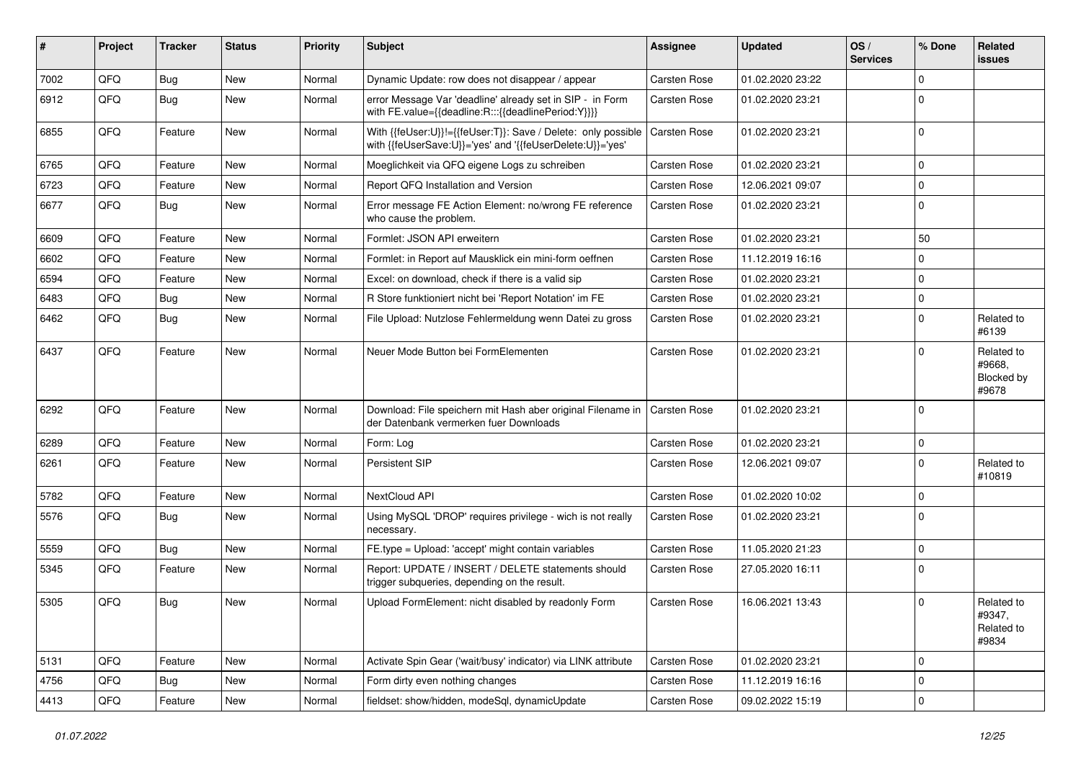| #    | Project | <b>Tracker</b> | <b>Status</b> | <b>Priority</b> | <b>Subject</b>                                                                                                             | <b>Assignee</b>     | <b>Updated</b>   | OS/<br><b>Services</b> | % Done      | Related<br>issues                           |
|------|---------|----------------|---------------|-----------------|----------------------------------------------------------------------------------------------------------------------------|---------------------|------------------|------------------------|-------------|---------------------------------------------|
| 7002 | QFQ     | Bug            | <b>New</b>    | Normal          | Dynamic Update: row does not disappear / appear                                                                            | Carsten Rose        | 01.02.2020 23:22 |                        | $\Omega$    |                                             |
| 6912 | QFQ     | <b>Bug</b>     | <b>New</b>    | Normal          | error Message Var 'deadline' already set in SIP - in Form<br>with FE.value={{deadline:R:::{{deadlinePeriod:Y}}}}           | Carsten Rose        | 01.02.2020 23:21 |                        | $\mathbf 0$ |                                             |
| 6855 | QFQ     | Feature        | <b>New</b>    | Normal          | With {{feUser:U}}!={{feUser:T}}: Save / Delete: only possible<br>with {{feUserSave:U}}='yes' and '{{feUserDelete:U}}='yes' | Carsten Rose        | 01.02.2020 23:21 |                        | $\Omega$    |                                             |
| 6765 | QFQ     | Feature        | <b>New</b>    | Normal          | Moeglichkeit via QFQ eigene Logs zu schreiben                                                                              | Carsten Rose        | 01.02.2020 23:21 |                        | $\Omega$    |                                             |
| 6723 | QFQ     | Feature        | New           | Normal          | Report QFQ Installation and Version                                                                                        | <b>Carsten Rose</b> | 12.06.2021 09:07 |                        | $\pmb{0}$   |                                             |
| 6677 | QFQ     | Bug            | New           | Normal          | Error message FE Action Element: no/wrong FE reference<br>who cause the problem.                                           | Carsten Rose        | 01.02.2020 23:21 |                        | $\mathbf 0$ |                                             |
| 6609 | QFQ     | Feature        | <b>New</b>    | Normal          | Formlet: JSON API erweitern                                                                                                | Carsten Rose        | 01.02.2020 23:21 |                        | 50          |                                             |
| 6602 | QFQ     | Feature        | <b>New</b>    | Normal          | Formlet: in Report auf Mausklick ein mini-form oeffnen                                                                     | Carsten Rose        | 11.12.2019 16:16 |                        | $\Omega$    |                                             |
| 6594 | QFQ     | Feature        | <b>New</b>    | Normal          | Excel: on download, check if there is a valid sip                                                                          | Carsten Rose        | 01.02.2020 23:21 |                        | $\mathbf 0$ |                                             |
| 6483 | QFQ     | <b>Bug</b>     | <b>New</b>    | Normal          | R Store funktioniert nicht bei 'Report Notation' im FE                                                                     | Carsten Rose        | 01.02.2020 23:21 |                        | $\pmb{0}$   |                                             |
| 6462 | QFQ     | <b>Bug</b>     | New           | Normal          | File Upload: Nutzlose Fehlermeldung wenn Datei zu gross                                                                    | Carsten Rose        | 01.02.2020 23:21 |                        | $\Omega$    | Related to<br>#6139                         |
| 6437 | QFQ     | Feature        | <b>New</b>    | Normal          | Neuer Mode Button bei FormElementen                                                                                        | Carsten Rose        | 01.02.2020 23:21 |                        | $\Omega$    | Related to<br>#9668,<br>Blocked by<br>#9678 |
| 6292 | QFQ     | Feature        | <b>New</b>    | Normal          | Download: File speichern mit Hash aber original Filename in<br>der Datenbank vermerken fuer Downloads                      | Carsten Rose        | 01.02.2020 23:21 |                        | $\Omega$    |                                             |
| 6289 | QFQ     | Feature        | <b>New</b>    | Normal          | Form: Log                                                                                                                  | Carsten Rose        | 01.02.2020 23:21 |                        | $\mathbf 0$ |                                             |
| 6261 | QFQ     | Feature        | <b>New</b>    | Normal          | <b>Persistent SIP</b>                                                                                                      | Carsten Rose        | 12.06.2021 09:07 |                        | $\mathbf 0$ | Related to<br>#10819                        |
| 5782 | QFQ     | Feature        | <b>New</b>    | Normal          | NextCloud API                                                                                                              | Carsten Rose        | 01.02.2020 10:02 |                        | $\mathbf 0$ |                                             |
| 5576 | QFQ     | <b>Bug</b>     | <b>New</b>    | Normal          | Using MySQL 'DROP' requires privilege - wich is not really<br>necessary.                                                   | Carsten Rose        | 01.02.2020 23:21 |                        | $\mathbf 0$ |                                             |
| 5559 | QFQ     | <b>Bug</b>     | New           | Normal          | FE.type = Upload: 'accept' might contain variables                                                                         | Carsten Rose        | 11.05.2020 21:23 |                        | $\mathbf 0$ |                                             |
| 5345 | QFQ     | Feature        | New           | Normal          | Report: UPDATE / INSERT / DELETE statements should<br>trigger subqueries, depending on the result.                         | <b>Carsten Rose</b> | 27.05.2020 16:11 |                        | $\mathbf 0$ |                                             |
| 5305 | QFQ     | Bug            | <b>New</b>    | Normal          | Upload FormElement: nicht disabled by readonly Form                                                                        | Carsten Rose        | 16.06.2021 13:43 |                        | $\mathbf 0$ | Related to<br>#9347,<br>Related to<br>#9834 |
| 5131 | QFQ     | Feature        | New           | Normal          | Activate Spin Gear ('wait/busy' indicator) via LINK attribute                                                              | <b>Carsten Rose</b> | 01.02.2020 23:21 |                        | $\mathbf 0$ |                                             |
| 4756 | QFQ     | <b>Bug</b>     | New           | Normal          | Form dirty even nothing changes                                                                                            | Carsten Rose        | 11.12.2019 16:16 |                        | $\mathbf 0$ |                                             |
| 4413 | QFQ     | Feature        | New           | Normal          | fieldset: show/hidden, modeSql, dynamicUpdate                                                                              | Carsten Rose        | 09.02.2022 15:19 |                        | $\pmb{0}$   |                                             |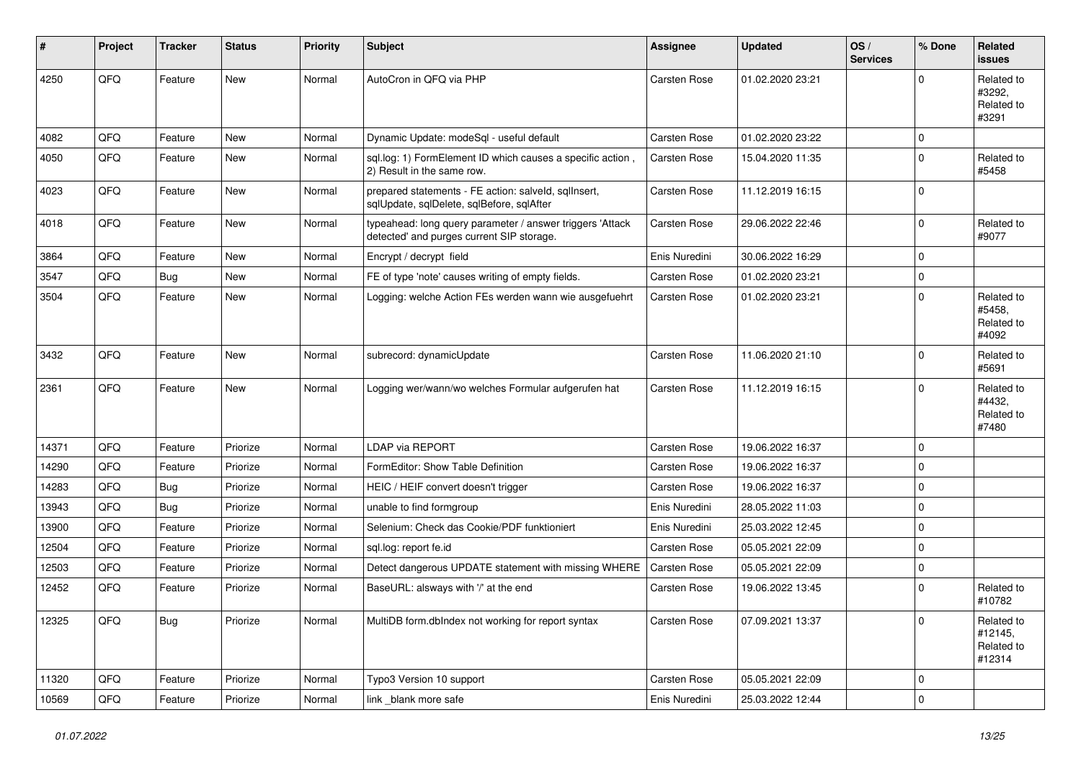| #     | Project | <b>Tracker</b> | <b>Status</b> | <b>Priority</b> | <b>Subject</b>                                                                                         | <b>Assignee</b>     | <b>Updated</b>   | OS/<br><b>Services</b> | % Done      | Related<br>issues                             |
|-------|---------|----------------|---------------|-----------------|--------------------------------------------------------------------------------------------------------|---------------------|------------------|------------------------|-------------|-----------------------------------------------|
| 4250  | QFQ     | Feature        | <b>New</b>    | Normal          | AutoCron in QFQ via PHP                                                                                | Carsten Rose        | 01.02.2020 23:21 |                        | 0           | Related to<br>#3292.<br>Related to<br>#3291   |
| 4082  | QFQ     | Feature        | <b>New</b>    | Normal          | Dynamic Update: modeSql - useful default                                                               | <b>Carsten Rose</b> | 01.02.2020 23:22 |                        | 0           |                                               |
| 4050  | QFQ     | Feature        | <b>New</b>    | Normal          | sql.log: 1) FormElement ID which causes a specific action,<br>2) Result in the same row.               | Carsten Rose        | 15.04.2020 11:35 |                        | $\Omega$    | Related to<br>#5458                           |
| 4023  | QFQ     | Feature        | <b>New</b>    | Normal          | prepared statements - FE action: salveld, sqllnsert,<br>sqlUpdate, sqlDelete, sqlBefore, sqlAfter      | Carsten Rose        | 11.12.2019 16:15 |                        | $\Omega$    |                                               |
| 4018  | QFQ     | Feature        | <b>New</b>    | Normal          | typeahead: long query parameter / answer triggers 'Attack<br>detected' and purges current SIP storage. | Carsten Rose        | 29.06.2022 22:46 |                        | $\mathbf 0$ | Related to<br>#9077                           |
| 3864  | QFQ     | Feature        | <b>New</b>    | Normal          | Encrypt / decrypt field                                                                                | Enis Nuredini       | 30.06.2022 16:29 |                        | 0           |                                               |
| 3547  | QFQ     | Bug            | <b>New</b>    | Normal          | FE of type 'note' causes writing of empty fields.                                                      | <b>Carsten Rose</b> | 01.02.2020 23:21 |                        | 0           |                                               |
| 3504  | QFQ     | Feature        | New           | Normal          | Logging: welche Action FEs werden wann wie ausgefuehrt                                                 | Carsten Rose        | 01.02.2020 23:21 |                        | 0           | Related to<br>#5458,<br>Related to<br>#4092   |
| 3432  | QFQ     | Feature        | <b>New</b>    | Normal          | subrecord: dynamicUpdate                                                                               | <b>Carsten Rose</b> | 11.06.2020 21:10 |                        | 0           | Related to<br>#5691                           |
| 2361  | QFQ     | Feature        | New           | Normal          | Logging wer/wann/wo welches Formular aufgerufen hat                                                    | Carsten Rose        | 11.12.2019 16:15 |                        | 0           | Related to<br>#4432,<br>Related to<br>#7480   |
| 14371 | QFQ     | Feature        | Priorize      | Normal          | LDAP via REPORT                                                                                        | <b>Carsten Rose</b> | 19.06.2022 16:37 |                        | 0           |                                               |
| 14290 | QFQ     | Feature        | Priorize      | Normal          | FormEditor: Show Table Definition                                                                      | Carsten Rose        | 19.06.2022 16:37 |                        | 0           |                                               |
| 14283 | QFQ     | <b>Bug</b>     | Priorize      | Normal          | HEIC / HEIF convert doesn't trigger                                                                    | <b>Carsten Rose</b> | 19.06.2022 16:37 |                        | 0           |                                               |
| 13943 | QFQ     | Bug            | Priorize      | Normal          | unable to find formgroup                                                                               | Enis Nuredini       | 28.05.2022 11:03 |                        | 0           |                                               |
| 13900 | QFQ     | Feature        | Priorize      | Normal          | Selenium: Check das Cookie/PDF funktioniert                                                            | Enis Nuredini       | 25.03.2022 12:45 |                        | 0           |                                               |
| 12504 | QFQ     | Feature        | Priorize      | Normal          | sql.log: report fe.id                                                                                  | <b>Carsten Rose</b> | 05.05.2021 22:09 |                        | 0           |                                               |
| 12503 | QFQ     | Feature        | Priorize      | Normal          | Detect dangerous UPDATE statement with missing WHERE                                                   | <b>Carsten Rose</b> | 05.05.2021 22:09 |                        | 0           |                                               |
| 12452 | QFQ     | Feature        | Priorize      | Normal          | BaseURL: alsways with '/' at the end                                                                   | Carsten Rose        | 19.06.2022 13:45 |                        | 0           | Related to<br>#10782                          |
| 12325 | QFQ     | Bug            | Priorize      | Normal          | MultiDB form.dblndex not working for report syntax                                                     | Carsten Rose        | 07.09.2021 13:37 |                        | 0           | Related to<br>#12145,<br>Related to<br>#12314 |
| 11320 | QFQ     | Feature        | Priorize      | Normal          | Typo3 Version 10 support                                                                               | Carsten Rose        | 05.05.2021 22:09 |                        | 0           |                                               |
| 10569 | QFG     | Feature        | Priorize      | Normal          | link _blank more safe                                                                                  | Enis Nuredini       | 25.03.2022 12:44 |                        | 0           |                                               |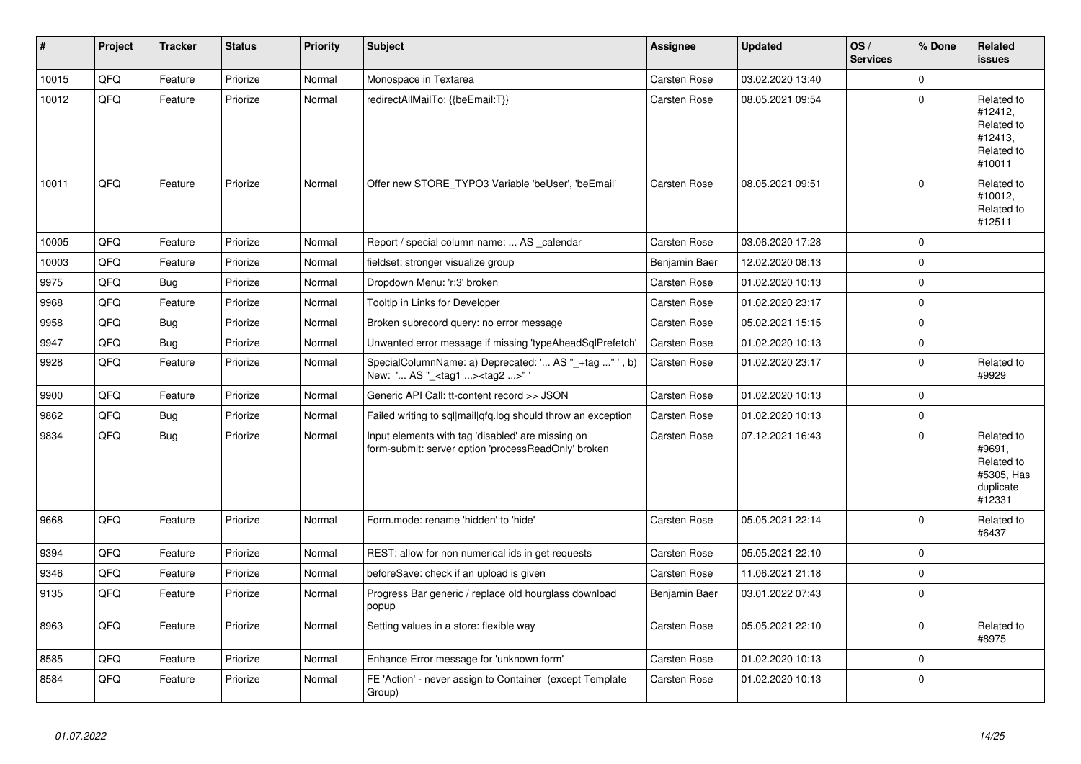| #     | Project | <b>Tracker</b> | <b>Status</b> | <b>Priority</b> | <b>Subject</b>                                                                                           | Assignee            | <b>Updated</b>   | OS/<br><b>Services</b> | % Done      | <b>Related</b><br>issues                                                |
|-------|---------|----------------|---------------|-----------------|----------------------------------------------------------------------------------------------------------|---------------------|------------------|------------------------|-------------|-------------------------------------------------------------------------|
| 10015 | QFQ     | Feature        | Priorize      | Normal          | Monospace in Textarea                                                                                    | <b>Carsten Rose</b> | 03.02.2020 13:40 |                        | 0           |                                                                         |
| 10012 | QFQ     | Feature        | Priorize      | Normal          | redirectAllMailTo: {{beEmail:T}}                                                                         | Carsten Rose        | 08.05.2021 09:54 |                        | $\Omega$    | Related to<br>#12412,<br>Related to<br>#12413,<br>Related to<br>#10011  |
| 10011 | QFQ     | Feature        | Priorize      | Normal          | Offer new STORE_TYPO3 Variable 'beUser', 'beEmail'                                                       | Carsten Rose        | 08.05.2021 09:51 |                        | 0           | Related to<br>#10012,<br>Related to<br>#12511                           |
| 10005 | QFQ     | Feature        | Priorize      | Normal          | Report / special column name:  AS calendar                                                               | Carsten Rose        | 03.06.2020 17:28 |                        | 0           |                                                                         |
| 10003 | QFQ     | Feature        | Priorize      | Normal          | fieldset: stronger visualize group                                                                       | Benjamin Baer       | 12.02.2020 08:13 |                        | 0           |                                                                         |
| 9975  | QFQ     | Bug            | Priorize      | Normal          | Dropdown Menu: 'r:3' broken                                                                              | Carsten Rose        | 01.02.2020 10:13 |                        | $\mathbf 0$ |                                                                         |
| 9968  | QFQ     | Feature        | Priorize      | Normal          | Tooltip in Links for Developer                                                                           | <b>Carsten Rose</b> | 01.02.2020 23:17 |                        | $\Omega$    |                                                                         |
| 9958  | QFQ     | Bug            | Priorize      | Normal          | Broken subrecord query: no error message                                                                 | Carsten Rose        | 05.02.2021 15:15 |                        | $\Omega$    |                                                                         |
| 9947  | QFQ     | <b>Bug</b>     | Priorize      | Normal          | Unwanted error message if missing 'typeAheadSqlPrefetch'                                                 | <b>Carsten Rose</b> | 01.02.2020 10:13 |                        | $\mathbf 0$ |                                                                         |
| 9928  | QFQ     | Feature        | Priorize      | Normal          | SpecialColumnName: a) Deprecated: ' AS "_+tag " ', b)<br>New: ' AS "_ <tag1><tag2>"</tag2></tag1>        | Carsten Rose        | 01.02.2020 23:17 |                        | $\mathbf 0$ | Related to<br>#9929                                                     |
| 9900  | QFQ     | Feature        | Priorize      | Normal          | Generic API Call: tt-content record >> JSON                                                              | <b>Carsten Rose</b> | 01.02.2020 10:13 |                        | $\Omega$    |                                                                         |
| 9862  | QFQ     | Bug            | Priorize      | Normal          | Failed writing to sql mail qfq.log should throw an exception                                             | <b>Carsten Rose</b> | 01.02.2020 10:13 |                        | 0           |                                                                         |
| 9834  | QFQ     | <b>Bug</b>     | Priorize      | Normal          | Input elements with tag 'disabled' are missing on<br>form-submit: server option 'processReadOnly' broken | Carsten Rose        | 07.12.2021 16:43 |                        | $\Omega$    | Related to<br>#9691.<br>Related to<br>#5305, Has<br>duplicate<br>#12331 |
| 9668  | QFQ     | Feature        | Priorize      | Normal          | Form.mode: rename 'hidden' to 'hide'                                                                     | Carsten Rose        | 05.05.2021 22:14 |                        | 0           | Related to<br>#6437                                                     |
| 9394  | QFQ     | Feature        | Priorize      | Normal          | REST: allow for non numerical ids in get requests                                                        | <b>Carsten Rose</b> | 05.05.2021 22:10 |                        | 0           |                                                                         |
| 9346  | QFQ     | Feature        | Priorize      | Normal          | beforeSave: check if an upload is given                                                                  | Carsten Rose        | 11.06.2021 21:18 |                        | 0           |                                                                         |
| 9135  | QFQ     | Feature        | Priorize      | Normal          | Progress Bar generic / replace old hourglass download<br>popup                                           | Benjamin Baer       | 03.01.2022 07:43 |                        | $\mathbf 0$ |                                                                         |
| 8963  | QFQ     | Feature        | Priorize      | Normal          | Setting values in a store: flexible way                                                                  | Carsten Rose        | 05.05.2021 22:10 |                        | $\Omega$    | Related to<br>#8975                                                     |
| 8585  | QFQ     | Feature        | Priorize      | Normal          | Enhance Error message for 'unknown form'                                                                 | Carsten Rose        | 01.02.2020 10:13 |                        | 0           |                                                                         |
| 8584  | QFQ     | Feature        | Priorize      | Normal          | FE 'Action' - never assign to Container (except Template<br>Group)                                       | Carsten Rose        | 01.02.2020 10:13 |                        | $\Omega$    |                                                                         |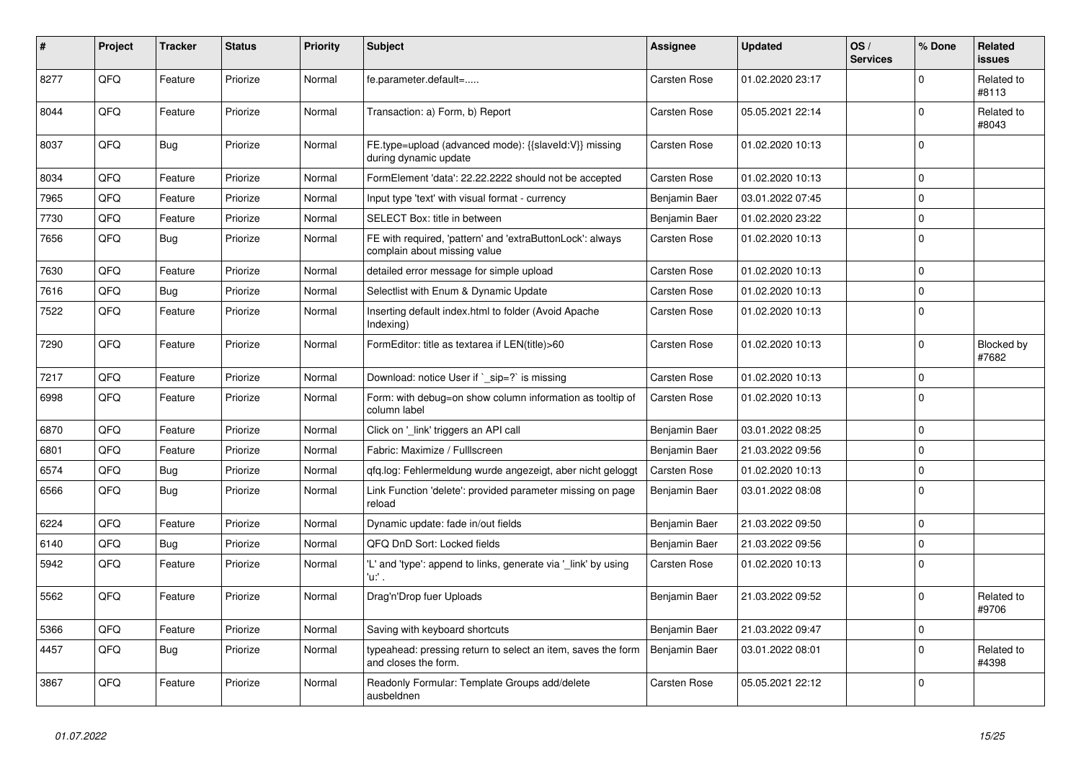| #    | Project | <b>Tracker</b> | <b>Status</b> | <b>Priority</b> | <b>Subject</b>                                                                            | Assignee            | <b>Updated</b>   | OS/<br><b>Services</b> | % Done      | <b>Related</b><br>issues |
|------|---------|----------------|---------------|-----------------|-------------------------------------------------------------------------------------------|---------------------|------------------|------------------------|-------------|--------------------------|
| 8277 | QFQ     | Feature        | Priorize      | Normal          | fe.parameter.default=                                                                     | Carsten Rose        | 01.02.2020 23:17 |                        | $\mathbf 0$ | Related to<br>#8113      |
| 8044 | QFQ     | Feature        | Priorize      | Normal          | Transaction: a) Form, b) Report                                                           | Carsten Rose        | 05.05.2021 22:14 |                        | $\mathbf 0$ | Related to<br>#8043      |
| 8037 | QFQ     | <b>Bug</b>     | Priorize      | Normal          | FE.type=upload (advanced mode): {{slaveId:V}} missing<br>during dynamic update            | Carsten Rose        | 01.02.2020 10:13 |                        | $\Omega$    |                          |
| 8034 | QFQ     | Feature        | Priorize      | Normal          | FormElement 'data': 22.22.2222 should not be accepted                                     | Carsten Rose        | 01.02.2020 10:13 |                        | $\Omega$    |                          |
| 7965 | QFQ     | Feature        | Priorize      | Normal          | Input type 'text' with visual format - currency                                           | Benjamin Baer       | 03.01.2022 07:45 |                        | $\mathbf 0$ |                          |
| 7730 | QFQ     | Feature        | Priorize      | Normal          | SELECT Box: title in between                                                              | Benjamin Baer       | 01.02.2020 23:22 |                        | 0           |                          |
| 7656 | QFQ     | Bug            | Priorize      | Normal          | FE with required, 'pattern' and 'extraButtonLock': always<br>complain about missing value | <b>Carsten Rose</b> | 01.02.2020 10:13 |                        | 0           |                          |
| 7630 | QFQ     | Feature        | Priorize      | Normal          | detailed error message for simple upload                                                  | Carsten Rose        | 01.02.2020 10:13 |                        | $\mathbf 0$ |                          |
| 7616 | QFQ     | <b>Bug</b>     | Priorize      | Normal          | Selectlist with Enum & Dynamic Update                                                     | <b>Carsten Rose</b> | 01.02.2020 10:13 |                        | 0           |                          |
| 7522 | QFQ     | Feature        | Priorize      | Normal          | Inserting default index.html to folder (Avoid Apache<br>Indexing)                         | Carsten Rose        | 01.02.2020 10:13 |                        | $\mathbf 0$ |                          |
| 7290 | QFQ     | Feature        | Priorize      | Normal          | FormEditor: title as textarea if LEN(title)>60                                            | Carsten Rose        | 01.02.2020 10:13 |                        | 0           | Blocked by<br>#7682      |
| 7217 | QFQ     | Feature        | Priorize      | Normal          | Download: notice User if `_sip=?` is missing                                              | Carsten Rose        | 01.02.2020 10:13 |                        | 0           |                          |
| 6998 | QFQ     | Feature        | Priorize      | Normal          | Form: with debug=on show column information as tooltip of<br>column label                 | Carsten Rose        | 01.02.2020 10:13 |                        | $\mathbf 0$ |                          |
| 6870 | QFQ     | Feature        | Priorize      | Normal          | Click on '_link' triggers an API call                                                     | Benjamin Baer       | 03.01.2022 08:25 |                        | 0           |                          |
| 6801 | QFQ     | Feature        | Priorize      | Normal          | Fabric: Maximize / Fulllscreen                                                            | Benjamin Baer       | 21.03.2022 09:56 |                        | $\mathbf 0$ |                          |
| 6574 | QFQ     | <b>Bug</b>     | Priorize      | Normal          | gfg.log: Fehlermeldung wurde angezeigt, aber nicht geloggt                                | <b>Carsten Rose</b> | 01.02.2020 10:13 |                        | $\mathbf 0$ |                          |
| 6566 | QFQ     | Bug            | Priorize      | Normal          | Link Function 'delete': provided parameter missing on page<br>reload                      | Benjamin Baer       | 03.01.2022 08:08 |                        | $\mathbf 0$ |                          |
| 6224 | QFQ     | Feature        | Priorize      | Normal          | Dynamic update: fade in/out fields                                                        | Benjamin Baer       | 21.03.2022 09:50 |                        | 0           |                          |
| 6140 | QFQ     | <b>Bug</b>     | Priorize      | Normal          | QFQ DnD Sort: Locked fields                                                               | Benjamin Baer       | 21.03.2022 09:56 |                        | $\Omega$    |                          |
| 5942 | QFQ     | Feature        | Priorize      | Normal          | 'L' and 'type': append to links, generate via '_link' by using<br>'u:' .                  | Carsten Rose        | 01.02.2020 10:13 |                        | $\Omega$    |                          |
| 5562 | QFQ     | Feature        | Priorize      | Normal          | Drag'n'Drop fuer Uploads                                                                  | Benjamin Baer       | 21.03.2022 09:52 |                        | 0           | Related to<br>#9706      |
| 5366 | QFQ     | Feature        | Priorize      | Normal          | Saving with keyboard shortcuts                                                            | Benjamin Baer       | 21.03.2022 09:47 |                        | 0           |                          |
| 4457 | QFQ     | Bug            | Priorize      | Normal          | typeahead: pressing return to select an item, saves the form<br>and closes the form.      | Benjamin Baer       | 03.01.2022 08:01 |                        | $\Omega$    | Related to<br>#4398      |
| 3867 | QFQ     | Feature        | Priorize      | Normal          | Readonly Formular: Template Groups add/delete<br>ausbeldnen                               | Carsten Rose        | 05.05.2021 22:12 |                        | $\Omega$    |                          |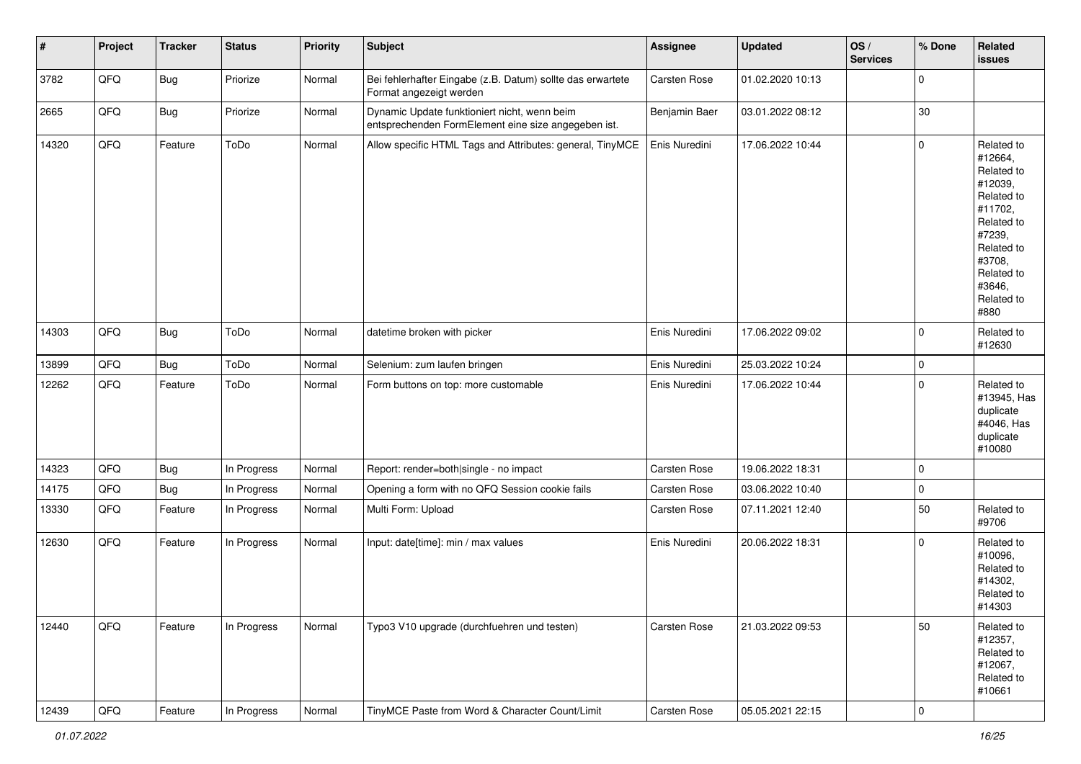| $\vert$ # | Project        | <b>Tracker</b> | <b>Status</b> | <b>Priority</b> | Subject                                                                                             | <b>Assignee</b> | <b>Updated</b>   | OS/<br><b>Services</b> | % Done              | Related<br>issues                                                                                                                                                     |
|-----------|----------------|----------------|---------------|-----------------|-----------------------------------------------------------------------------------------------------|-----------------|------------------|------------------------|---------------------|-----------------------------------------------------------------------------------------------------------------------------------------------------------------------|
| 3782      | QFQ            | Bug            | Priorize      | Normal          | Bei fehlerhafter Eingabe (z.B. Datum) sollte das erwartete<br>Format angezeigt werden               | Carsten Rose    | 01.02.2020 10:13 |                        | $\mathsf{O}\xspace$ |                                                                                                                                                                       |
| 2665      | QFQ            | <b>Bug</b>     | Priorize      | Normal          | Dynamic Update funktioniert nicht, wenn beim<br>entsprechenden FormElement eine size angegeben ist. | Benjamin Baer   | 03.01.2022 08:12 |                        | 30                  |                                                                                                                                                                       |
| 14320     | QFQ            | Feature        | ToDo          | Normal          | Allow specific HTML Tags and Attributes: general, TinyMCE                                           | Enis Nuredini   | 17.06.2022 10:44 |                        | 0                   | Related to<br>#12664,<br>Related to<br>#12039,<br>Related to<br>#11702,<br>Related to<br>#7239,<br>Related to<br>#3708,<br>Related to<br>#3646,<br>Related to<br>#880 |
| 14303     | QFQ            | Bug            | ToDo          | Normal          | datetime broken with picker                                                                         | Enis Nuredini   | 17.06.2022 09:02 |                        | $\mathbf 0$         | Related to<br>#12630                                                                                                                                                  |
| 13899     | QFQ            | Bug            | ToDo          | Normal          | Selenium: zum laufen bringen                                                                        | Enis Nuredini   | 25.03.2022 10:24 |                        | $\mathsf{O}\xspace$ |                                                                                                                                                                       |
| 12262     | QFQ            | Feature        | ToDo          | Normal          | Form buttons on top: more customable                                                                | Enis Nuredini   | 17.06.2022 10:44 |                        | $\mathsf{O}\xspace$ | Related to<br>#13945, Has<br>duplicate<br>#4046, Has<br>duplicate<br>#10080                                                                                           |
| 14323     | QFQ            | <b>Bug</b>     | In Progress   | Normal          | Report: render=both single - no impact                                                              | Carsten Rose    | 19.06.2022 18:31 |                        | $\mathsf{O}\xspace$ |                                                                                                                                                                       |
| 14175     | QFQ            | <b>Bug</b>     | In Progress   | Normal          | Opening a form with no QFQ Session cookie fails                                                     | Carsten Rose    | 03.06.2022 10:40 |                        | $\mathsf{O}\xspace$ |                                                                                                                                                                       |
| 13330     | QFQ            | Feature        | In Progress   | Normal          | Multi Form: Upload                                                                                  | Carsten Rose    | 07.11.2021 12:40 |                        | 50                  | Related to<br>#9706                                                                                                                                                   |
| 12630     | QFQ            | Feature        | In Progress   | Normal          | Input: date[time]: min / max values                                                                 | Enis Nuredini   | 20.06.2022 18:31 |                        | $\mathsf{O}\xspace$ | Related to<br>#10096,<br>Related to<br>#14302,<br>Related to<br>#14303                                                                                                |
| 12440     | QFQ            | Feature        | In Progress   | Normal          | Typo3 V10 upgrade (durchfuehren und testen)                                                         | Carsten Rose    | 21.03.2022 09:53 |                        | 50                  | Related to<br>#12357,<br>Related to<br>#12067,<br>Related to<br>#10661                                                                                                |
| 12439     | $\mathsf{QFQ}$ | Feature        | In Progress   | Normal          | TinyMCE Paste from Word & Character Count/Limit                                                     | Carsten Rose    | 05.05.2021 22:15 |                        | $\pmb{0}$           |                                                                                                                                                                       |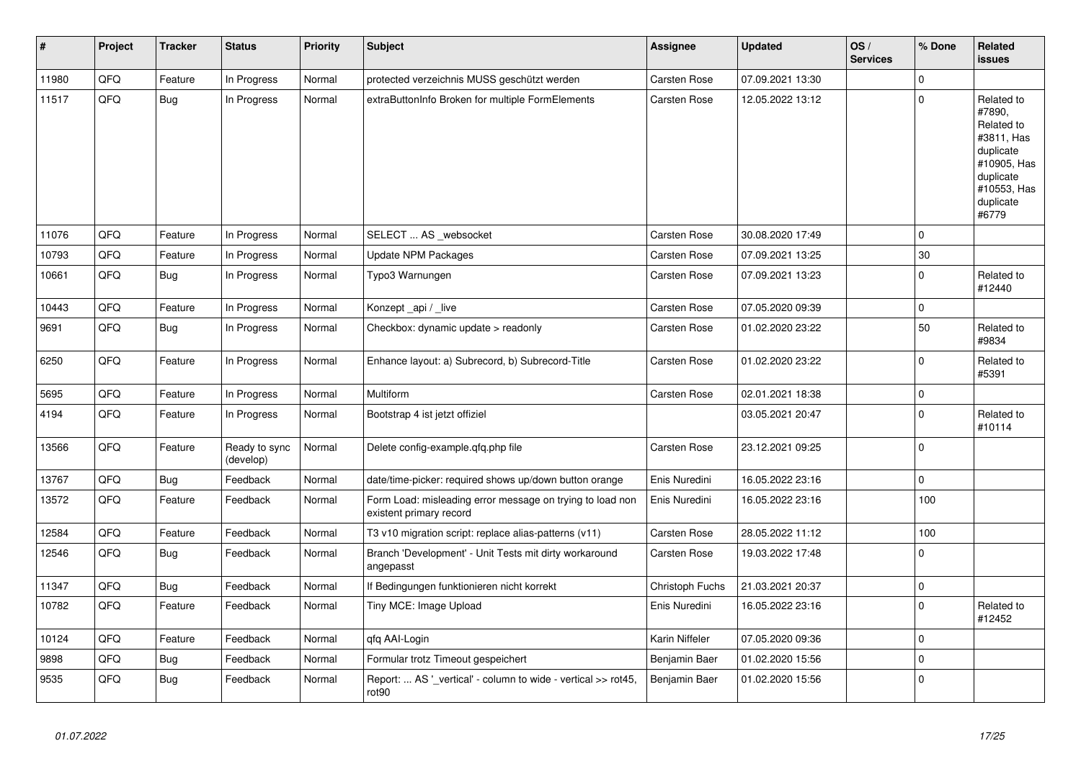| ∦     | Project | <b>Tracker</b> | <b>Status</b>              | <b>Priority</b> | <b>Subject</b>                                                                       | Assignee        | <b>Updated</b>   | OS/<br><b>Services</b> | % Done      | <b>Related</b><br>issues                                                                                                       |
|-------|---------|----------------|----------------------------|-----------------|--------------------------------------------------------------------------------------|-----------------|------------------|------------------------|-------------|--------------------------------------------------------------------------------------------------------------------------------|
| 11980 | QFQ     | Feature        | In Progress                | Normal          | protected verzeichnis MUSS geschützt werden                                          | Carsten Rose    | 07.09.2021 13:30 |                        | $\mathbf 0$ |                                                                                                                                |
| 11517 | QFQ     | <b>Bug</b>     | In Progress                | Normal          | extraButtonInfo Broken for multiple FormElements                                     | Carsten Rose    | 12.05.2022 13:12 |                        | $\pmb{0}$   | Related to<br>#7890,<br>Related to<br>#3811, Has<br>duplicate<br>#10905, Has<br>duplicate<br>#10553, Has<br>duplicate<br>#6779 |
| 11076 | QFQ     | Feature        | In Progress                | Normal          | SELECT  AS _websocket                                                                | Carsten Rose    | 30.08.2020 17:49 |                        | $\Omega$    |                                                                                                                                |
| 10793 | QFQ     | Feature        | In Progress                | Normal          | <b>Update NPM Packages</b>                                                           | Carsten Rose    | 07.09.2021 13:25 |                        | 30          |                                                                                                                                |
| 10661 | QFQ     | <b>Bug</b>     | In Progress                | Normal          | Typo3 Warnungen                                                                      | Carsten Rose    | 07.09.2021 13:23 |                        | $\pmb{0}$   | Related to<br>#12440                                                                                                           |
| 10443 | QFQ     | Feature        | In Progress                | Normal          | Konzept_api / _live                                                                  | Carsten Rose    | 07.05.2020 09:39 |                        | $\pmb{0}$   |                                                                                                                                |
| 9691  | QFQ     | Bug            | In Progress                | Normal          | Checkbox: dynamic update > readonly                                                  | Carsten Rose    | 01.02.2020 23:22 |                        | 50          | Related to<br>#9834                                                                                                            |
| 6250  | QFQ     | Feature        | In Progress                | Normal          | Enhance layout: a) Subrecord, b) Subrecord-Title                                     | Carsten Rose    | 01.02.2020 23:22 |                        | $\pmb{0}$   | Related to<br>#5391                                                                                                            |
| 5695  | QFQ     | Feature        | In Progress                | Normal          | Multiform                                                                            | Carsten Rose    | 02.01.2021 18:38 |                        | $\pmb{0}$   |                                                                                                                                |
| 4194  | QFQ     | Feature        | In Progress                | Normal          | Bootstrap 4 ist jetzt offiziel                                                       |                 | 03.05.2021 20:47 |                        | 0           | Related to<br>#10114                                                                                                           |
| 13566 | QFQ     | Feature        | Ready to sync<br>(develop) | Normal          | Delete config-example.qfq.php file                                                   | Carsten Rose    | 23.12.2021 09:25 |                        | 0           |                                                                                                                                |
| 13767 | QFQ     | <b>Bug</b>     | Feedback                   | Normal          | date/time-picker: required shows up/down button orange                               | Enis Nuredini   | 16.05.2022 23:16 |                        | 0           |                                                                                                                                |
| 13572 | QFQ     | Feature        | Feedback                   | Normal          | Form Load: misleading error message on trying to load non<br>existent primary record | Enis Nuredini   | 16.05.2022 23:16 |                        | 100         |                                                                                                                                |
| 12584 | QFQ     | Feature        | Feedback                   | Normal          | T3 v10 migration script: replace alias-patterns (v11)                                | Carsten Rose    | 28.05.2022 11:12 |                        | 100         |                                                                                                                                |
| 12546 | QFQ     | <b>Bug</b>     | Feedback                   | Normal          | Branch 'Development' - Unit Tests mit dirty workaround<br>angepasst                  | Carsten Rose    | 19.03.2022 17:48 |                        | $\pmb{0}$   |                                                                                                                                |
| 11347 | QFQ     | Bug            | Feedback                   | Normal          | If Bedingungen funktionieren nicht korrekt                                           | Christoph Fuchs | 21.03.2021 20:37 |                        | 0           |                                                                                                                                |
| 10782 | QFQ     | Feature        | Feedback                   | Normal          | Tiny MCE: Image Upload                                                               | Enis Nuredini   | 16.05.2022 23:16 |                        | $\mathbf 0$ | Related to<br>#12452                                                                                                           |
| 10124 | QFQ     | Feature        | Feedback                   | Normal          | qfq AAI-Login                                                                        | Karin Niffeler  | 07.05.2020 09:36 |                        | 0           |                                                                                                                                |
| 9898  | QFQ     | <b>Bug</b>     | Feedback                   | Normal          | Formular trotz Timeout gespeichert                                                   | Benjamin Baer   | 01.02.2020 15:56 |                        | $\mathbf 0$ |                                                                                                                                |
| 9535  | QFQ     | <b>Bug</b>     | Feedback                   | Normal          | Report:  AS '_vertical' - column to wide - vertical >> rot45,<br>rot90               | Benjamin Baer   | 01.02.2020 15:56 |                        | $\Omega$    |                                                                                                                                |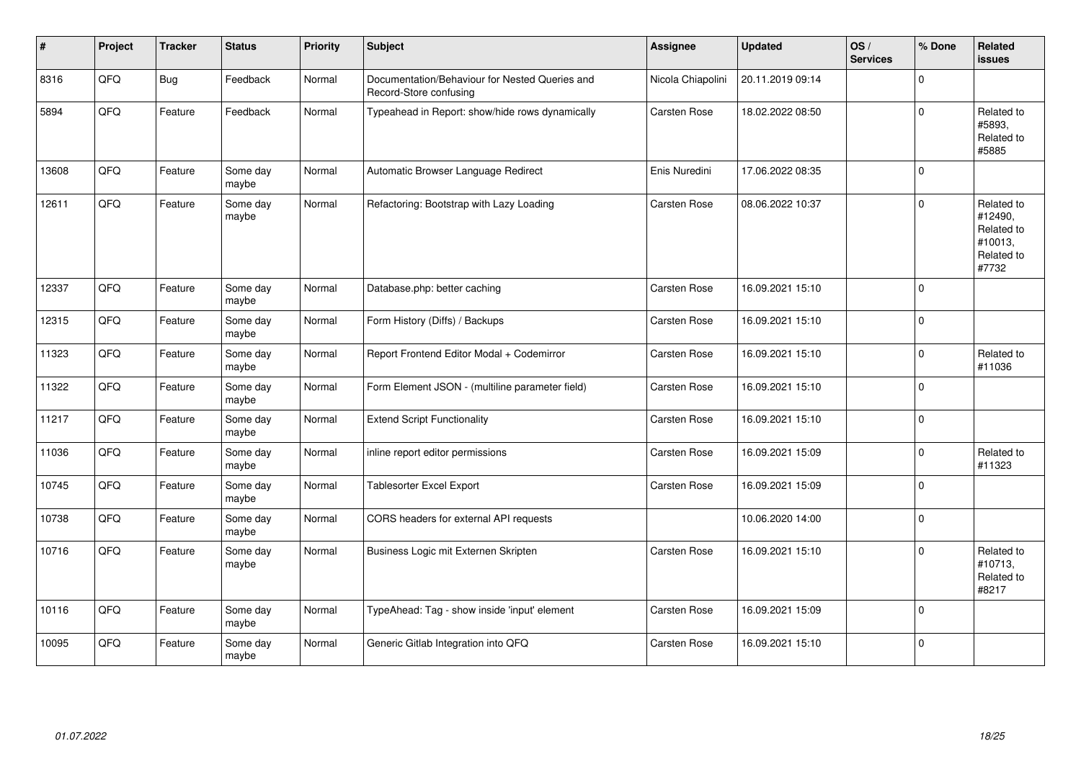| #     | Project | <b>Tracker</b> | <b>Status</b>     | <b>Priority</b> | Subject                                                                  | <b>Assignee</b>   | <b>Updated</b>   | OS/<br><b>Services</b> | % Done      | <b>Related</b><br>issues                                              |
|-------|---------|----------------|-------------------|-----------------|--------------------------------------------------------------------------|-------------------|------------------|------------------------|-------------|-----------------------------------------------------------------------|
| 8316  | QFQ     | <b>Bug</b>     | Feedback          | Normal          | Documentation/Behaviour for Nested Queries and<br>Record-Store confusing | Nicola Chiapolini | 20.11.2019 09:14 |                        | 0           |                                                                       |
| 5894  | QFQ     | Feature        | Feedback          | Normal          | Typeahead in Report: show/hide rows dynamically                          | Carsten Rose      | 18.02.2022 08:50 |                        | $\Omega$    | Related to<br>#5893.<br>Related to<br>#5885                           |
| 13608 | QFQ     | Feature        | Some day<br>maybe | Normal          | Automatic Browser Language Redirect                                      | Enis Nuredini     | 17.06.2022 08:35 |                        | $\Omega$    |                                                                       |
| 12611 | QFQ     | Feature        | Some day<br>maybe | Normal          | Refactoring: Bootstrap with Lazy Loading                                 | Carsten Rose      | 08.06.2022 10:37 |                        | $\Omega$    | Related to<br>#12490,<br>Related to<br>#10013,<br>Related to<br>#7732 |
| 12337 | QFQ     | Feature        | Some day<br>maybe | Normal          | Database.php: better caching                                             | Carsten Rose      | 16.09.2021 15:10 |                        | $\Omega$    |                                                                       |
| 12315 | QFQ     | Feature        | Some day<br>maybe | Normal          | Form History (Diffs) / Backups                                           | Carsten Rose      | 16.09.2021 15:10 |                        | 0           |                                                                       |
| 11323 | QFQ     | Feature        | Some day<br>maybe | Normal          | Report Frontend Editor Modal + Codemirror                                | Carsten Rose      | 16.09.2021 15:10 |                        | $\mathbf 0$ | Related to<br>#11036                                                  |
| 11322 | QFQ     | Feature        | Some day<br>maybe | Normal          | Form Element JSON - (multiline parameter field)                          | Carsten Rose      | 16.09.2021 15:10 |                        | 0           |                                                                       |
| 11217 | QFQ     | Feature        | Some day<br>maybe | Normal          | <b>Extend Script Functionality</b>                                       | Carsten Rose      | 16.09.2021 15:10 |                        | $\mathbf 0$ |                                                                       |
| 11036 | QFQ     | Feature        | Some day<br>maybe | Normal          | inline report editor permissions                                         | Carsten Rose      | 16.09.2021 15:09 |                        | $\mathbf 0$ | Related to<br>#11323                                                  |
| 10745 | QFQ     | Feature        | Some day<br>maybe | Normal          | <b>Tablesorter Excel Export</b>                                          | Carsten Rose      | 16.09.2021 15:09 |                        | $\mathbf 0$ |                                                                       |
| 10738 | QFQ     | Feature        | Some day<br>maybe | Normal          | CORS headers for external API requests                                   |                   | 10.06.2020 14:00 |                        | 0           |                                                                       |
| 10716 | QFQ     | Feature        | Some day<br>maybe | Normal          | Business Logic mit Externen Skripten                                     | Carsten Rose      | 16.09.2021 15:10 |                        | $\mathbf 0$ | Related to<br>#10713,<br>Related to<br>#8217                          |
| 10116 | QFQ     | Feature        | Some day<br>maybe | Normal          | TypeAhead: Tag - show inside 'input' element                             | Carsten Rose      | 16.09.2021 15:09 |                        | $\Omega$    |                                                                       |
| 10095 | QFQ     | Feature        | Some day<br>maybe | Normal          | Generic Gitlab Integration into QFQ                                      | Carsten Rose      | 16.09.2021 15:10 |                        | $\Omega$    |                                                                       |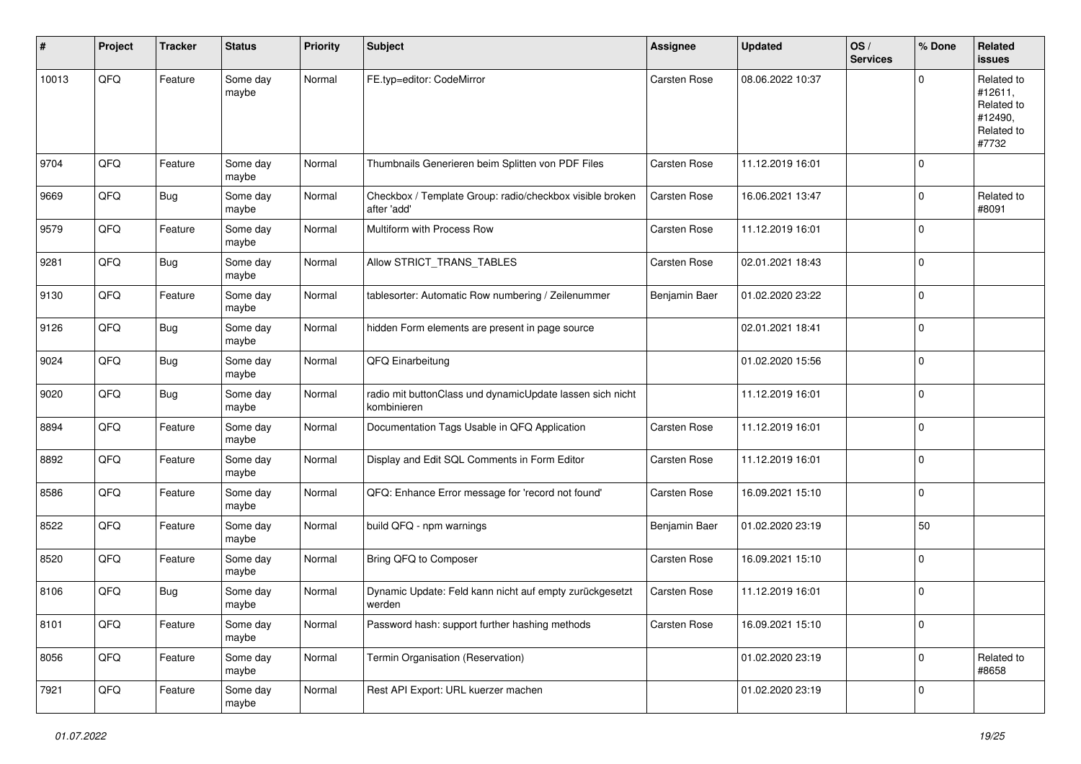| #     | Project | <b>Tracker</b> | <b>Status</b>     | <b>Priority</b> | <b>Subject</b>                                                           | Assignee            | <b>Updated</b>   | OS/<br><b>Services</b> | % Done      | Related<br><b>issues</b>                                              |
|-------|---------|----------------|-------------------|-----------------|--------------------------------------------------------------------------|---------------------|------------------|------------------------|-------------|-----------------------------------------------------------------------|
| 10013 | QFQ     | Feature        | Some day<br>maybe | Normal          | FE.typ=editor: CodeMirror                                                | Carsten Rose        | 08.06.2022 10:37 |                        | $\mathbf 0$ | Related to<br>#12611,<br>Related to<br>#12490,<br>Related to<br>#7732 |
| 9704  | QFQ     | Feature        | Some day<br>maybe | Normal          | Thumbnails Generieren beim Splitten von PDF Files                        | Carsten Rose        | 11.12.2019 16:01 |                        | $\mathbf 0$ |                                                                       |
| 9669  | QFQ     | <b>Bug</b>     | Some day<br>maybe | Normal          | Checkbox / Template Group: radio/checkbox visible broken<br>after 'add'  | Carsten Rose        | 16.06.2021 13:47 |                        | $\mathbf 0$ | Related to<br>#8091                                                   |
| 9579  | QFQ     | Feature        | Some day<br>maybe | Normal          | Multiform with Process Row                                               | Carsten Rose        | 11.12.2019 16:01 |                        | $\mathbf 0$ |                                                                       |
| 9281  | QFQ     | <b>Bug</b>     | Some day<br>maybe | Normal          | Allow STRICT_TRANS_TABLES                                                | Carsten Rose        | 02.01.2021 18:43 |                        | $\mathbf 0$ |                                                                       |
| 9130  | QFQ     | Feature        | Some day<br>maybe | Normal          | tablesorter: Automatic Row numbering / Zeilenummer                       | Benjamin Baer       | 01.02.2020 23:22 |                        | $\mathbf 0$ |                                                                       |
| 9126  | QFQ     | <b>Bug</b>     | Some day<br>maybe | Normal          | hidden Form elements are present in page source                          |                     | 02.01.2021 18:41 |                        | $\mathbf 0$ |                                                                       |
| 9024  | QFQ     | <b>Bug</b>     | Some day<br>maybe | Normal          | QFQ Einarbeitung                                                         |                     | 01.02.2020 15:56 |                        | $\mathbf 0$ |                                                                       |
| 9020  | QFQ     | <b>Bug</b>     | Some day<br>maybe | Normal          | radio mit buttonClass und dynamicUpdate lassen sich nicht<br>kombinieren |                     | 11.12.2019 16:01 |                        | $\mathbf 0$ |                                                                       |
| 8894  | QFQ     | Feature        | Some day<br>maybe | Normal          | Documentation Tags Usable in QFQ Application                             | <b>Carsten Rose</b> | 11.12.2019 16:01 |                        | $\mathbf 0$ |                                                                       |
| 8892  | QFQ     | Feature        | Some day<br>maybe | Normal          | Display and Edit SQL Comments in Form Editor                             | Carsten Rose        | 11.12.2019 16:01 |                        | $\mathbf 0$ |                                                                       |
| 8586  | QFQ     | Feature        | Some day<br>maybe | Normal          | QFQ: Enhance Error message for 'record not found'                        | Carsten Rose        | 16.09.2021 15:10 |                        | 0           |                                                                       |
| 8522  | QFQ     | Feature        | Some day<br>maybe | Normal          | build QFQ - npm warnings                                                 | Benjamin Baer       | 01.02.2020 23:19 |                        | 50          |                                                                       |
| 8520  | QFQ     | Feature        | Some day<br>maybe | Normal          | Bring QFQ to Composer                                                    | Carsten Rose        | 16.09.2021 15:10 |                        | $\mathbf 0$ |                                                                       |
| 8106  | QFQ     | <b>Bug</b>     | Some day<br>maybe | Normal          | Dynamic Update: Feld kann nicht auf empty zurückgesetzt<br>werden        | <b>Carsten Rose</b> | 11.12.2019 16:01 |                        | $\mathbf 0$ |                                                                       |
| 8101  | QFQ     | Feature        | Some day<br>maybe | Normal          | Password hash: support further hashing methods                           | Carsten Rose        | 16.09.2021 15:10 |                        | 0           |                                                                       |
| 8056  | QFQ     | Feature        | Some day<br>maybe | Normal          | Termin Organisation (Reservation)                                        |                     | 01.02.2020 23:19 |                        | 0           | Related to<br>#8658                                                   |
| 7921  | QFQ     | Feature        | Some day<br>maybe | Normal          | Rest API Export: URL kuerzer machen                                      |                     | 01.02.2020 23:19 |                        | $\mathbf 0$ |                                                                       |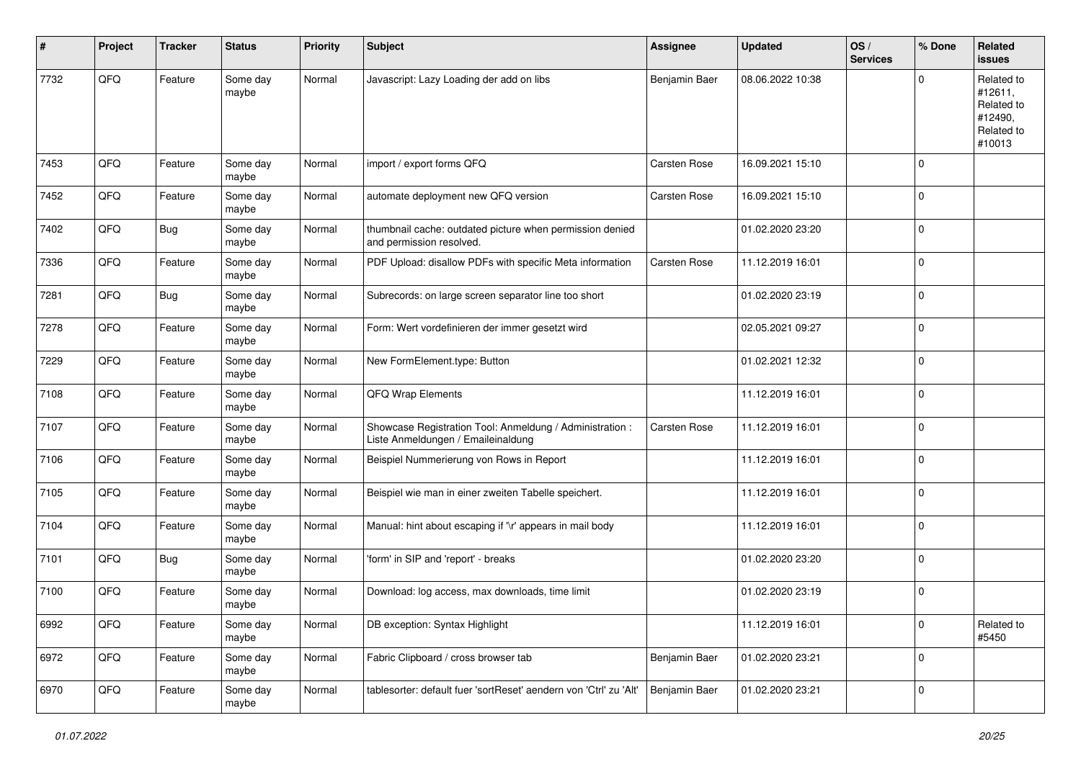| ∦    | Project | <b>Tracker</b> | <b>Status</b>     | <b>Priority</b> | <b>Subject</b>                                                                                 | <b>Assignee</b> | <b>Updated</b>   | OS/<br><b>Services</b> | % Done      | Related<br>issues                                                      |
|------|---------|----------------|-------------------|-----------------|------------------------------------------------------------------------------------------------|-----------------|------------------|------------------------|-------------|------------------------------------------------------------------------|
| 7732 | QFQ     | Feature        | Some day<br>maybe | Normal          | Javascript: Lazy Loading der add on libs                                                       | Benjamin Baer   | 08.06.2022 10:38 |                        | $\Omega$    | Related to<br>#12611,<br>Related to<br>#12490,<br>Related to<br>#10013 |
| 7453 | QFQ     | Feature        | Some day<br>maybe | Normal          | import / export forms QFQ                                                                      | Carsten Rose    | 16.09.2021 15:10 |                        | 0           |                                                                        |
| 7452 | QFQ     | Feature        | Some day<br>maybe | Normal          | automate deployment new QFQ version                                                            | Carsten Rose    | 16.09.2021 15:10 |                        | $\Omega$    |                                                                        |
| 7402 | QFQ     | <b>Bug</b>     | Some day<br>maybe | Normal          | thumbnail cache: outdated picture when permission denied<br>and permission resolved.           |                 | 01.02.2020 23:20 |                        | 0           |                                                                        |
| 7336 | QFQ     | Feature        | Some day<br>maybe | Normal          | PDF Upload: disallow PDFs with specific Meta information                                       | Carsten Rose    | 11.12.2019 16:01 |                        | $\mathbf 0$ |                                                                        |
| 7281 | QFQ     | <b>Bug</b>     | Some day<br>maybe | Normal          | Subrecords: on large screen separator line too short                                           |                 | 01.02.2020 23:19 |                        | 0           |                                                                        |
| 7278 | QFQ     | Feature        | Some day<br>maybe | Normal          | Form: Wert vordefinieren der immer gesetzt wird                                                |                 | 02.05.2021 09:27 |                        | $\mathbf 0$ |                                                                        |
| 7229 | QFQ     | Feature        | Some day<br>maybe | Normal          | New FormElement.type: Button                                                                   |                 | 01.02.2021 12:32 |                        | 0           |                                                                        |
| 7108 | QFQ     | Feature        | Some day<br>maybe | Normal          | <b>QFQ Wrap Elements</b>                                                                       |                 | 11.12.2019 16:01 |                        | 0           |                                                                        |
| 7107 | QFQ     | Feature        | Some day<br>maybe | Normal          | Showcase Registration Tool: Anmeldung / Administration :<br>Liste Anmeldungen / Emaileinaldung | Carsten Rose    | 11.12.2019 16:01 |                        | $\mathbf 0$ |                                                                        |
| 7106 | QFQ     | Feature        | Some day<br>maybe | Normal          | Beispiel Nummerierung von Rows in Report                                                       |                 | 11.12.2019 16:01 |                        | $\mathbf 0$ |                                                                        |
| 7105 | QFQ     | Feature        | Some day<br>maybe | Normal          | Beispiel wie man in einer zweiten Tabelle speichert.                                           |                 | 11.12.2019 16:01 |                        | 0           |                                                                        |
| 7104 | QFQ     | Feature        | Some day<br>maybe | Normal          | Manual: hint about escaping if '\r' appears in mail body                                       |                 | 11.12.2019 16:01 |                        | 0           |                                                                        |
| 7101 | QFQ     | <b>Bug</b>     | Some day<br>maybe | Normal          | 'form' in SIP and 'report' - breaks                                                            |                 | 01.02.2020 23:20 |                        | $\mathbf 0$ |                                                                        |
| 7100 | QFQ     | Feature        | Some day<br>maybe | Normal          | Download: log access, max downloads, time limit                                                |                 | 01.02.2020 23:19 |                        | 0           |                                                                        |
| 6992 | QFQ     | Feature        | Some day<br>maybe | Normal          | DB exception: Syntax Highlight                                                                 |                 | 11.12.2019 16:01 |                        | $\pmb{0}$   | Related to<br>#5450                                                    |
| 6972 | QFQ     | Feature        | Some day<br>maybe | Normal          | Fabric Clipboard / cross browser tab                                                           | Benjamin Baer   | 01.02.2020 23:21 |                        | 0           |                                                                        |
| 6970 | QFG     | Feature        | Some day<br>maybe | Normal          | tablesorter: default fuer 'sortReset' aendern von 'Ctrl' zu 'Alt'                              | Benjamin Baer   | 01.02.2020 23:21 |                        | $\pmb{0}$   |                                                                        |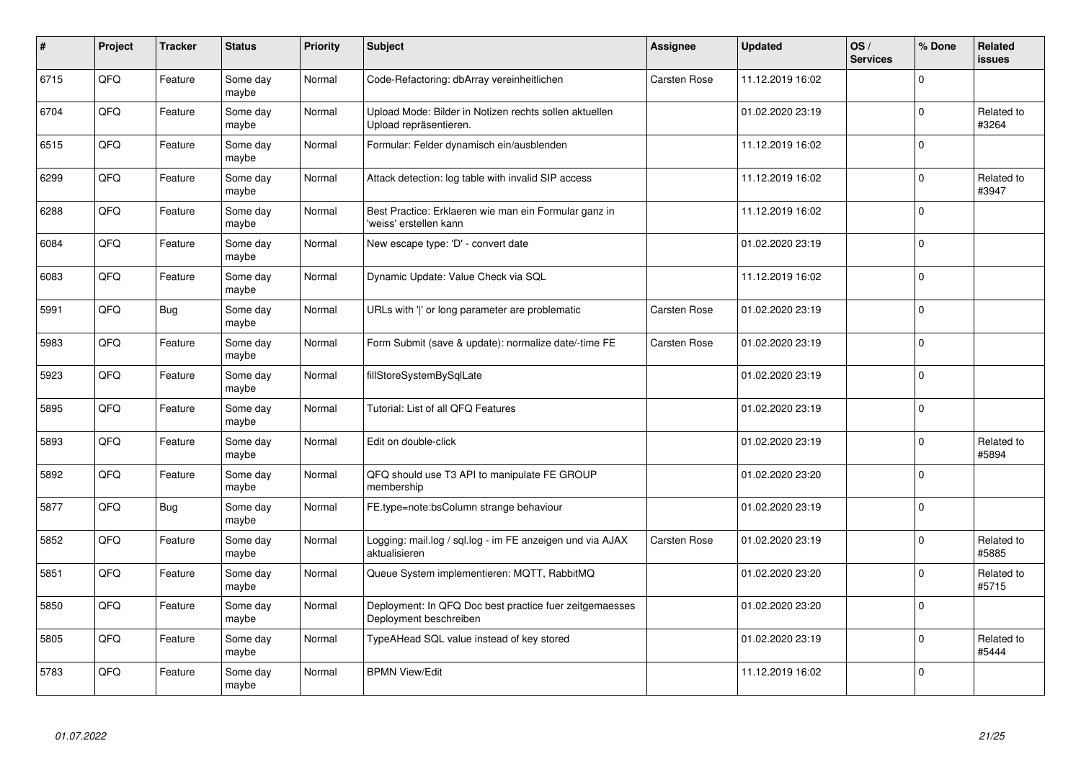| $\sharp$ | Project | <b>Tracker</b> | <b>Status</b>     | <b>Priority</b> | <b>Subject</b>                                                                    | <b>Assignee</b> | <b>Updated</b>   | OS/<br><b>Services</b> | % Done      | Related<br><b>issues</b> |
|----------|---------|----------------|-------------------|-----------------|-----------------------------------------------------------------------------------|-----------------|------------------|------------------------|-------------|--------------------------|
| 6715     | QFQ     | Feature        | Some day<br>maybe | Normal          | Code-Refactoring: dbArray vereinheitlichen                                        | Carsten Rose    | 11.12.2019 16:02 |                        | $\Omega$    |                          |
| 6704     | QFQ     | Feature        | Some day<br>maybe | Normal          | Upload Mode: Bilder in Notizen rechts sollen aktuellen<br>Upload repräsentieren.  |                 | 01.02.2020 23:19 |                        | $\mathbf 0$ | Related to<br>#3264      |
| 6515     | QFQ     | Feature        | Some day<br>maybe | Normal          | Formular: Felder dynamisch ein/ausblenden                                         |                 | 11.12.2019 16:02 |                        | $\mathbf 0$ |                          |
| 6299     | QFQ     | Feature        | Some day<br>maybe | Normal          | Attack detection: log table with invalid SIP access                               |                 | 11.12.2019 16:02 |                        | $\Omega$    | Related to<br>#3947      |
| 6288     | QFQ     | Feature        | Some day<br>maybe | Normal          | Best Practice: Erklaeren wie man ein Formular ganz in<br>'weiss' erstellen kann   |                 | 11.12.2019 16:02 |                        | $\mathbf 0$ |                          |
| 6084     | QFQ     | Feature        | Some day<br>maybe | Normal          | New escape type: 'D' - convert date                                               |                 | 01.02.2020 23:19 |                        | $\Omega$    |                          |
| 6083     | QFQ     | Feature        | Some day<br>maybe | Normal          | Dynamic Update: Value Check via SQL                                               |                 | 11.12.2019 16:02 |                        | $\mathbf 0$ |                          |
| 5991     | QFQ     | <b>Bug</b>     | Some day<br>maybe | Normal          | URLs with ' ' or long parameter are problematic                                   | Carsten Rose    | 01.02.2020 23:19 |                        | $\mathbf 0$ |                          |
| 5983     | QFQ     | Feature        | Some day<br>maybe | Normal          | Form Submit (save & update): normalize date/-time FE                              | Carsten Rose    | 01.02.2020 23:19 |                        | $\Omega$    |                          |
| 5923     | QFQ     | Feature        | Some day<br>maybe | Normal          | fillStoreSystemBySqlLate                                                          |                 | 01.02.2020 23:19 |                        | $\mathbf 0$ |                          |
| 5895     | QFQ     | Feature        | Some day<br>maybe | Normal          | Tutorial: List of all QFQ Features                                                |                 | 01.02.2020 23:19 |                        | $\mathbf 0$ |                          |
| 5893     | QFQ     | Feature        | Some day<br>maybe | Normal          | Edit on double-click                                                              |                 | 01.02.2020 23:19 |                        | $\mathbf 0$ | Related to<br>#5894      |
| 5892     | QFQ     | Feature        | Some day<br>maybe | Normal          | QFQ should use T3 API to manipulate FE GROUP<br>membership                        |                 | 01.02.2020 23:20 |                        | $\mathbf 0$ |                          |
| 5877     | QFQ     | <b>Bug</b>     | Some day<br>maybe | Normal          | FE.type=note:bsColumn strange behaviour                                           |                 | 01.02.2020 23:19 |                        | $\mathbf 0$ |                          |
| 5852     | QFQ     | Feature        | Some day<br>maybe | Normal          | Logging: mail.log / sql.log - im FE anzeigen und via AJAX<br>aktualisieren        | Carsten Rose    | 01.02.2020 23:19 |                        | $\Omega$    | Related to<br>#5885      |
| 5851     | QFQ     | Feature        | Some day<br>maybe | Normal          | Queue System implementieren: MQTT, RabbitMQ                                       |                 | 01.02.2020 23:20 |                        | $\Omega$    | Related to<br>#5715      |
| 5850     | QFQ     | Feature        | Some day<br>maybe | Normal          | Deployment: In QFQ Doc best practice fuer zeitgemaesses<br>Deployment beschreiben |                 | 01.02.2020 23:20 |                        | $\Omega$    |                          |
| 5805     | QFQ     | Feature        | Some day<br>maybe | Normal          | TypeAHead SQL value instead of key stored                                         |                 | 01.02.2020 23:19 |                        | $\mathbf 0$ | Related to<br>#5444      |
| 5783     | QFQ     | Feature        | Some day<br>maybe | Normal          | <b>BPMN View/Edit</b>                                                             |                 | 11.12.2019 16:02 |                        | $\Omega$    |                          |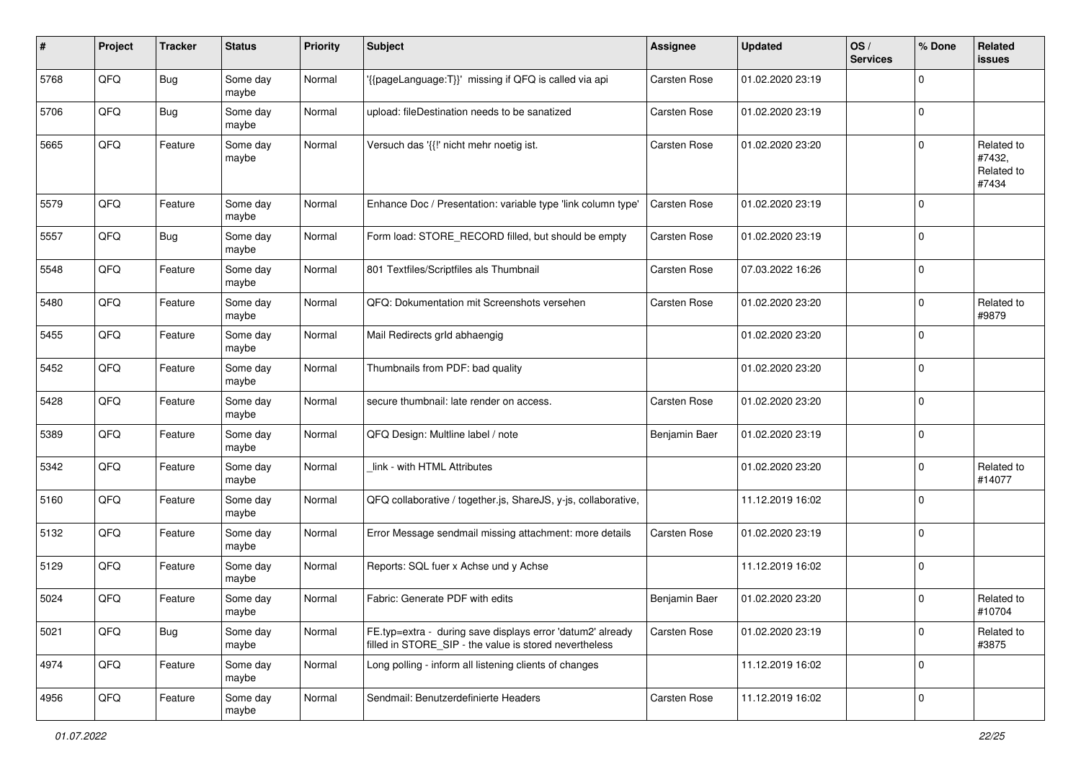| #    | Project | <b>Tracker</b> | <b>Status</b>     | <b>Priority</b> | <b>Subject</b>                                                                                                       | <b>Assignee</b>     | <b>Updated</b>   | OS/<br><b>Services</b> | % Done      | Related<br>issues                           |
|------|---------|----------------|-------------------|-----------------|----------------------------------------------------------------------------------------------------------------------|---------------------|------------------|------------------------|-------------|---------------------------------------------|
| 5768 | QFQ     | <b>Bug</b>     | Some day<br>maybe | Normal          | '{{pageLanguage:T}}' missing if QFQ is called via api                                                                | Carsten Rose        | 01.02.2020 23:19 |                        | $\mathbf 0$ |                                             |
| 5706 | QFQ     | Bug            | Some day<br>maybe | Normal          | upload: fileDestination needs to be sanatized                                                                        | <b>Carsten Rose</b> | 01.02.2020 23:19 |                        | $\mathbf 0$ |                                             |
| 5665 | QFQ     | Feature        | Some day<br>maybe | Normal          | Versuch das '{{!' nicht mehr noetig ist.                                                                             | Carsten Rose        | 01.02.2020 23:20 |                        | $\mathbf 0$ | Related to<br>#7432,<br>Related to<br>#7434 |
| 5579 | QFQ     | Feature        | Some day<br>maybe | Normal          | Enhance Doc / Presentation: variable type 'link column type'                                                         | Carsten Rose        | 01.02.2020 23:19 |                        | $\mathbf 0$ |                                             |
| 5557 | QFQ     | <b>Bug</b>     | Some day<br>maybe | Normal          | Form load: STORE_RECORD filled, but should be empty                                                                  | Carsten Rose        | 01.02.2020 23:19 |                        | 0           |                                             |
| 5548 | QFQ     | Feature        | Some day<br>maybe | Normal          | 801 Textfiles/Scriptfiles als Thumbnail                                                                              | Carsten Rose        | 07.03.2022 16:26 |                        | $\mathbf 0$ |                                             |
| 5480 | QFQ     | Feature        | Some day<br>maybe | Normal          | QFQ: Dokumentation mit Screenshots versehen                                                                          | Carsten Rose        | 01.02.2020 23:20 |                        | $\mathbf 0$ | Related to<br>#9879                         |
| 5455 | QFQ     | Feature        | Some day<br>maybe | Normal          | Mail Redirects grld abhaengig                                                                                        |                     | 01.02.2020 23:20 |                        | $\mathbf 0$ |                                             |
| 5452 | QFQ     | Feature        | Some day<br>maybe | Normal          | Thumbnails from PDF: bad quality                                                                                     |                     | 01.02.2020 23:20 |                        | $\mathbf 0$ |                                             |
| 5428 | QFQ     | Feature        | Some day<br>maybe | Normal          | secure thumbnail: late render on access.                                                                             | Carsten Rose        | 01.02.2020 23:20 |                        | $\mathbf 0$ |                                             |
| 5389 | QFQ     | Feature        | Some day<br>maybe | Normal          | QFQ Design: Multline label / note                                                                                    | Benjamin Baer       | 01.02.2020 23:19 |                        | $\mathbf 0$ |                                             |
| 5342 | QFQ     | Feature        | Some day<br>maybe | Normal          | link - with HTML Attributes                                                                                          |                     | 01.02.2020 23:20 |                        | $\mathbf 0$ | Related to<br>#14077                        |
| 5160 | QFQ     | Feature        | Some day<br>maybe | Normal          | QFQ collaborative / together.js, ShareJS, y-js, collaborative,                                                       |                     | 11.12.2019 16:02 |                        | $\mathbf 0$ |                                             |
| 5132 | QFQ     | Feature        | Some day<br>maybe | Normal          | Error Message sendmail missing attachment: more details                                                              | Carsten Rose        | 01.02.2020 23:19 |                        | $\mathbf 0$ |                                             |
| 5129 | QFQ     | Feature        | Some day<br>maybe | Normal          | Reports: SQL fuer x Achse und y Achse                                                                                |                     | 11.12.2019 16:02 |                        | $\mathbf 0$ |                                             |
| 5024 | QFQ     | Feature        | Some day<br>maybe | Normal          | Fabric: Generate PDF with edits                                                                                      | Benjamin Baer       | 01.02.2020 23:20 |                        | $\mathbf 0$ | Related to<br>#10704                        |
| 5021 | QFQ     | <b>Bug</b>     | Some day<br>maybe | Normal          | FE.typ=extra - during save displays error 'datum2' already<br>filled in STORE_SIP - the value is stored nevertheless | Carsten Rose        | 01.02.2020 23:19 |                        | $\mathbf 0$ | Related to<br>#3875                         |
| 4974 | QFQ     | Feature        | Some day<br>maybe | Normal          | Long polling - inform all listening clients of changes                                                               |                     | 11.12.2019 16:02 |                        | $\mathbf 0$ |                                             |
| 4956 | QFO     | Feature        | Some day<br>maybe | Normal          | Sendmail: Benutzerdefinierte Headers                                                                                 | Carsten Rose        | 11.12.2019 16:02 |                        | $\mathbf 0$ |                                             |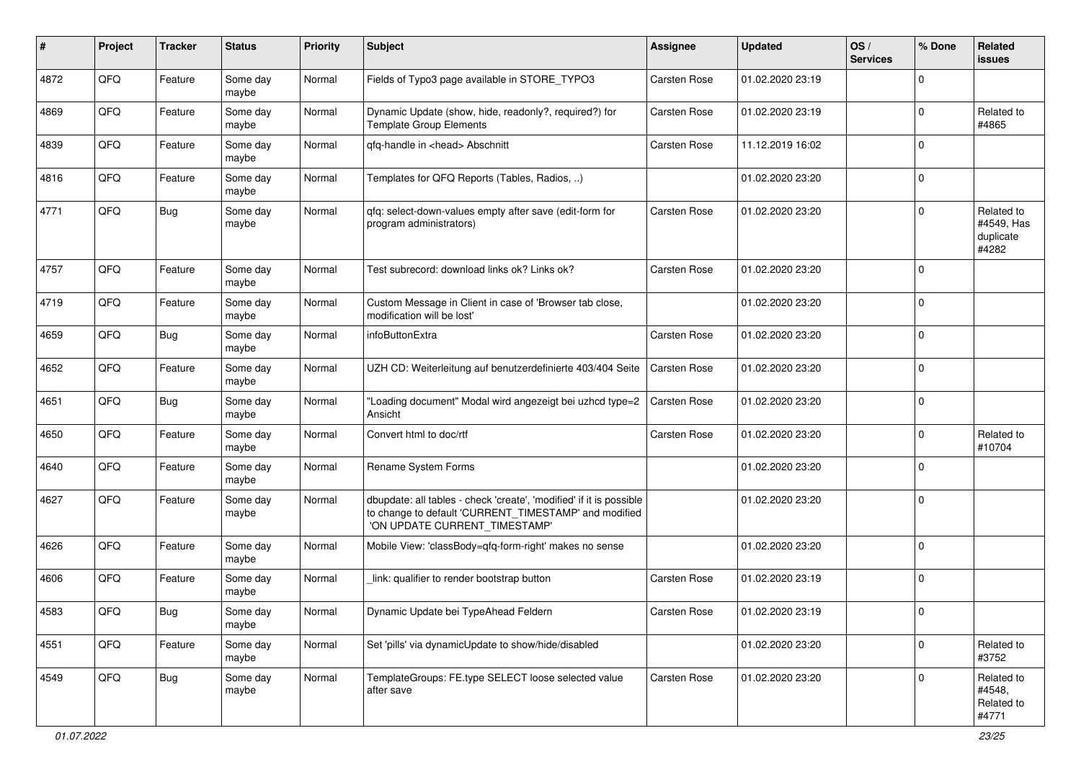| ∦    | Project | <b>Tracker</b> | <b>Status</b>     | <b>Priority</b> | <b>Subject</b>                                                                                                                                                | <b>Assignee</b>     | <b>Updated</b>   | OS/<br><b>Services</b> | % Done      | Related<br><b>issues</b>                       |
|------|---------|----------------|-------------------|-----------------|---------------------------------------------------------------------------------------------------------------------------------------------------------------|---------------------|------------------|------------------------|-------------|------------------------------------------------|
| 4872 | QFQ     | Feature        | Some day<br>maybe | Normal          | Fields of Typo3 page available in STORE_TYPO3                                                                                                                 | Carsten Rose        | 01.02.2020 23:19 |                        | 0           |                                                |
| 4869 | QFQ     | Feature        | Some day<br>maybe | Normal          | Dynamic Update (show, hide, readonly?, required?) for<br>Template Group Elements                                                                              | Carsten Rose        | 01.02.2020 23:19 |                        | 0           | Related to<br>#4865                            |
| 4839 | QFQ     | Feature        | Some day<br>maybe | Normal          | qfq-handle in <head> Abschnitt</head>                                                                                                                         | Carsten Rose        | 11.12.2019 16:02 |                        | 0           |                                                |
| 4816 | QFQ     | Feature        | Some day<br>maybe | Normal          | Templates for QFQ Reports (Tables, Radios, )                                                                                                                  |                     | 01.02.2020 23:20 |                        | 0           |                                                |
| 4771 | QFQ     | Bug            | Some day<br>maybe | Normal          | qfq: select-down-values empty after save (edit-form for<br>program administrators)                                                                            | Carsten Rose        | 01.02.2020 23:20 |                        | 0           | Related to<br>#4549, Has<br>duplicate<br>#4282 |
| 4757 | QFQ     | Feature        | Some day<br>maybe | Normal          | Test subrecord: download links ok? Links ok?                                                                                                                  | Carsten Rose        | 01.02.2020 23:20 |                        | $\mathbf 0$ |                                                |
| 4719 | QFQ     | Feature        | Some day<br>maybe | Normal          | Custom Message in Client in case of 'Browser tab close,<br>modification will be lost'                                                                         |                     | 01.02.2020 23:20 |                        | 0           |                                                |
| 4659 | QFQ     | Bug            | Some day<br>maybe | Normal          | infoButtonExtra                                                                                                                                               | <b>Carsten Rose</b> | 01.02.2020 23:20 |                        | 0           |                                                |
| 4652 | QFQ     | Feature        | Some day<br>maybe | Normal          | UZH CD: Weiterleitung auf benutzerdefinierte 403/404 Seite                                                                                                    | <b>Carsten Rose</b> | 01.02.2020 23:20 |                        | 0           |                                                |
| 4651 | QFQ     | <b>Bug</b>     | Some day<br>maybe | Normal          | "Loading document" Modal wird angezeigt bei uzhcd type=2<br>Ansicht                                                                                           | Carsten Rose        | 01.02.2020 23:20 |                        | 0           |                                                |
| 4650 | QFQ     | Feature        | Some day<br>maybe | Normal          | Convert html to doc/rtf                                                                                                                                       | Carsten Rose        | 01.02.2020 23:20 |                        | 0           | Related to<br>#10704                           |
| 4640 | QFQ     | Feature        | Some day<br>maybe | Normal          | Rename System Forms                                                                                                                                           |                     | 01.02.2020 23:20 |                        | 0           |                                                |
| 4627 | QFQ     | Feature        | Some day<br>maybe | Normal          | dbupdate: all tables - check 'create', 'modified' if it is possible<br>to change to default 'CURRENT_TIMESTAMP' and modified<br>'ON UPDATE CURRENT_TIMESTAMP' |                     | 01.02.2020 23:20 |                        | 0           |                                                |
| 4626 | QFQ     | Feature        | Some day<br>maybe | Normal          | Mobile View: 'classBody=qfq-form-right' makes no sense                                                                                                        |                     | 01.02.2020 23:20 |                        | $\Omega$    |                                                |
| 4606 | QFQ     | Feature        | Some day<br>maybe | Normal          | link: qualifier to render bootstrap button                                                                                                                    | Carsten Rose        | 01.02.2020 23:19 |                        | $\Omega$    |                                                |
| 4583 | QFQ     | i Bug          | Some day<br>maybe | Normal          | Dynamic Update bei TypeAhead Feldern                                                                                                                          | Carsten Rose        | 01.02.2020 23:19 |                        | $\pmb{0}$   |                                                |
| 4551 | QFQ     | Feature        | Some day<br>maybe | Normal          | Set 'pills' via dynamicUpdate to show/hide/disabled                                                                                                           |                     | 01.02.2020 23:20 |                        | 0           | Related to<br>#3752                            |
| 4549 | QFQ     | <b>Bug</b>     | Some day<br>maybe | Normal          | TemplateGroups: FE.type SELECT loose selected value<br>after save                                                                                             | Carsten Rose        | 01.02.2020 23:20 |                        | 0           | Related to<br>#4548,<br>Related to<br>#4771    |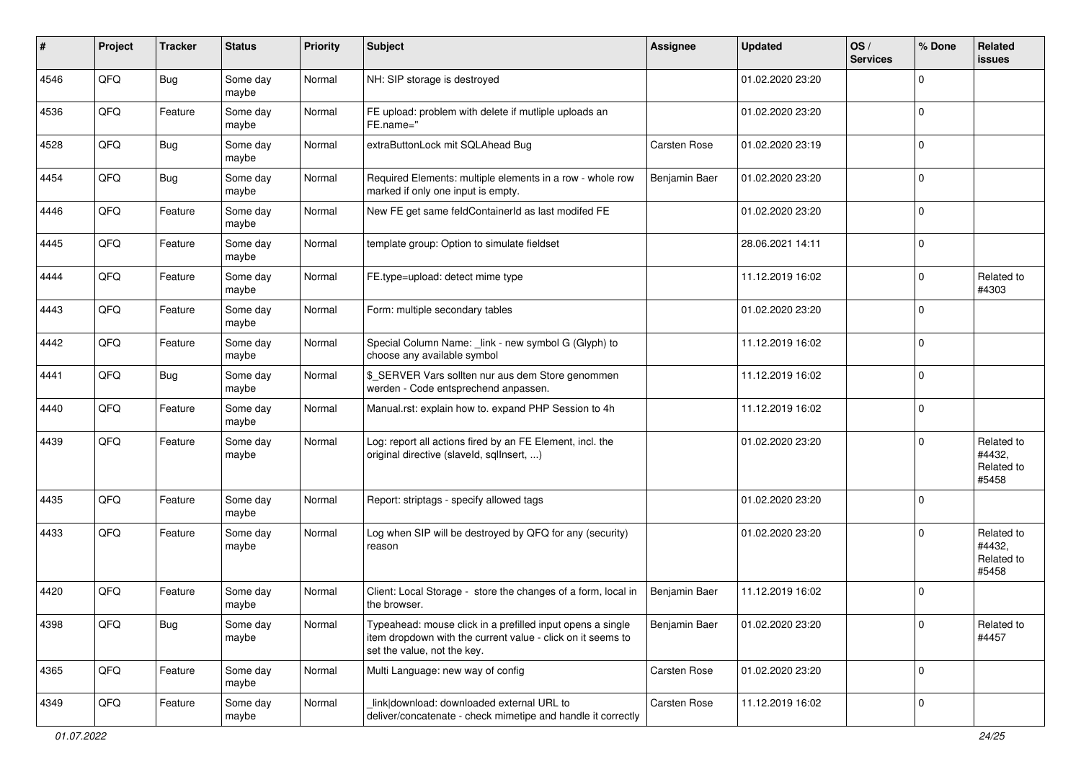| #    | Project | <b>Tracker</b> | <b>Status</b>     | <b>Priority</b> | <b>Subject</b>                                                                                                                                           | <b>Assignee</b> | <b>Updated</b>   | OS/<br><b>Services</b> | % Done      | Related<br><b>issues</b>                    |
|------|---------|----------------|-------------------|-----------------|----------------------------------------------------------------------------------------------------------------------------------------------------------|-----------------|------------------|------------------------|-------------|---------------------------------------------|
| 4546 | QFQ     | Bug            | Some day<br>maybe | Normal          | NH: SIP storage is destroyed                                                                                                                             |                 | 01.02.2020 23:20 |                        | $\mathbf 0$ |                                             |
| 4536 | QFQ     | Feature        | Some day<br>maybe | Normal          | FE upload: problem with delete if mutliple uploads an<br>FE.name="                                                                                       |                 | 01.02.2020 23:20 |                        | $\mathbf 0$ |                                             |
| 4528 | QFQ     | Bug            | Some day<br>maybe | Normal          | extraButtonLock mit SQLAhead Bug                                                                                                                         | Carsten Rose    | 01.02.2020 23:19 |                        | $\mathbf 0$ |                                             |
| 4454 | QFQ     | Bug            | Some day<br>maybe | Normal          | Required Elements: multiple elements in a row - whole row<br>marked if only one input is empty.                                                          | Benjamin Baer   | 01.02.2020 23:20 |                        | $\mathbf 0$ |                                             |
| 4446 | QFQ     | Feature        | Some day<br>maybe | Normal          | New FE get same feldContainerId as last modifed FE                                                                                                       |                 | 01.02.2020 23:20 |                        | $\mathbf 0$ |                                             |
| 4445 | QFQ     | Feature        | Some day<br>maybe | Normal          | template group: Option to simulate fieldset                                                                                                              |                 | 28.06.2021 14:11 |                        | $\mathbf 0$ |                                             |
| 4444 | QFQ     | Feature        | Some day<br>maybe | Normal          | FE.type=upload: detect mime type                                                                                                                         |                 | 11.12.2019 16:02 |                        | $\mathbf 0$ | Related to<br>#4303                         |
| 4443 | QFQ     | Feature        | Some day<br>maybe | Normal          | Form: multiple secondary tables                                                                                                                          |                 | 01.02.2020 23:20 |                        | $\mathbf 0$ |                                             |
| 4442 | QFQ     | Feature        | Some day<br>maybe | Normal          | Special Column Name: _link - new symbol G (Glyph) to<br>choose any available symbol                                                                      |                 | 11.12.2019 16:02 |                        | $\mathbf 0$ |                                             |
| 4441 | QFQ     | Bug            | Some day<br>maybe | Normal          | \$_SERVER Vars sollten nur aus dem Store genommen<br>werden - Code entsprechend anpassen.                                                                |                 | 11.12.2019 16:02 |                        | $\mathbf 0$ |                                             |
| 4440 | QFQ     | Feature        | Some day<br>maybe | Normal          | Manual.rst: explain how to. expand PHP Session to 4h                                                                                                     |                 | 11.12.2019 16:02 |                        | $\mathbf 0$ |                                             |
| 4439 | QFQ     | Feature        | Some day<br>maybe | Normal          | Log: report all actions fired by an FE Element, incl. the<br>original directive (slaveld, sqlInsert, )                                                   |                 | 01.02.2020 23:20 |                        | $\Omega$    | Related to<br>#4432,<br>Related to<br>#5458 |
| 4435 | QFQ     | Feature        | Some day<br>maybe | Normal          | Report: striptags - specify allowed tags                                                                                                                 |                 | 01.02.2020 23:20 |                        | $\mathbf 0$ |                                             |
| 4433 | QFQ     | Feature        | Some day<br>maybe | Normal          | Log when SIP will be destroyed by QFQ for any (security)<br>reason                                                                                       |                 | 01.02.2020 23:20 |                        | $\Omega$    | Related to<br>#4432,<br>Related to<br>#5458 |
| 4420 | QFQ     | Feature        | Some day<br>maybe | Normal          | Client: Local Storage - store the changes of a form, local in<br>the browser.                                                                            | Benjamin Baer   | 11.12.2019 16:02 |                        | 0           |                                             |
| 4398 | QFQ     | <b>Bug</b>     | Some day<br>maybe | Normal          | Typeahead: mouse click in a prefilled input opens a single<br>item dropdown with the current value - click on it seems to<br>set the value, not the key. | Benjamin Baer   | 01.02.2020 23:20 |                        | 0           | Related to<br>#4457                         |
| 4365 | QFQ     | Feature        | Some day<br>maybe | Normal          | Multi Language: new way of config                                                                                                                        | Carsten Rose    | 01.02.2020 23:20 |                        | $\mathbf 0$ |                                             |
| 4349 | QFQ     | Feature        | Some day<br>maybe | Normal          | link download: downloaded external URL to<br>deliver/concatenate - check mimetipe and handle it correctly                                                | Carsten Rose    | 11.12.2019 16:02 |                        | 0           |                                             |